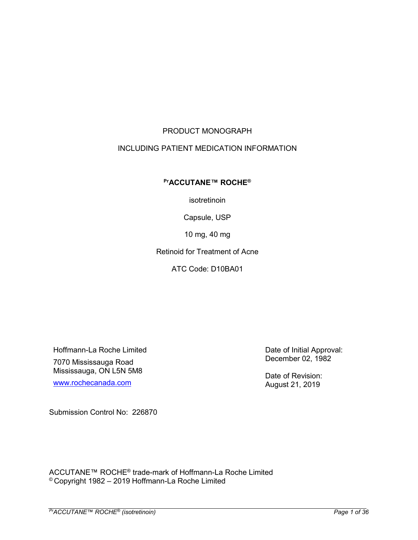# PRODUCT MONOGRAPH

## INCLUDING PATIENT MEDICATION INFORMATION

## **PrACCUTANE™ ROCHE®**

isotretinoin

Capsule, USP

10 mg, 40 mg

Retinoid for Treatment of Acne

ATC Code: D10BA01

Hoffmann-La Roche Limited 7070 Mississauga Road Mississauga, ON L5N 5M8

[www.rochecanada.com](http://www.rochecanada.com/)

Date of Initial Approval: December 02, 1982

Date of Revision: August 21, 2019

Submission Control No: 226870

ACCUTANE™ ROCHE® trade-mark of Hoffmann-La Roche Limited © Copyright 1982 – 2019 Hoffmann-La Roche Limited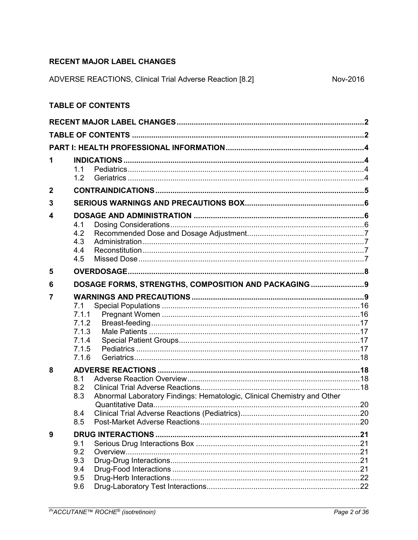# <span id="page-1-0"></span>**RECENT MAJOR LABEL CHANGES**

| ADVERSE REACTIONS, Clinical Trial Adverse Reaction [8.2] | Nov-2016 |
|----------------------------------------------------------|----------|

# <span id="page-1-1"></span>**TABLE OF CONTENTS**

| 1                       | 1.1<br>1.2                                                                                                 |  |
|-------------------------|------------------------------------------------------------------------------------------------------------|--|
| $\boldsymbol{2}$        |                                                                                                            |  |
| 3                       |                                                                                                            |  |
| $\overline{\mathbf{4}}$ | 4.1<br>4.2<br>4.3<br>4.4<br>4.5                                                                            |  |
| 5                       |                                                                                                            |  |
| 6                       | DOSAGE FORMS, STRENGTHS, COMPOSITION AND PACKAGING 9                                                       |  |
| $\overline{7}$          | 7.1<br>7.1.1<br>7.1.2<br>7.1.3<br>7.1.4<br>7.1.5<br>7.1.6                                                  |  |
| 8                       | 8.1<br>8.2<br>Abnormal Laboratory Findings: Hematologic, Clinical Chemistry and Other<br>8.3<br>8.4<br>8.5 |  |
| 9                       | 9.1<br>9.2<br>9.3<br>9.4<br>9.5<br>9.6                                                                     |  |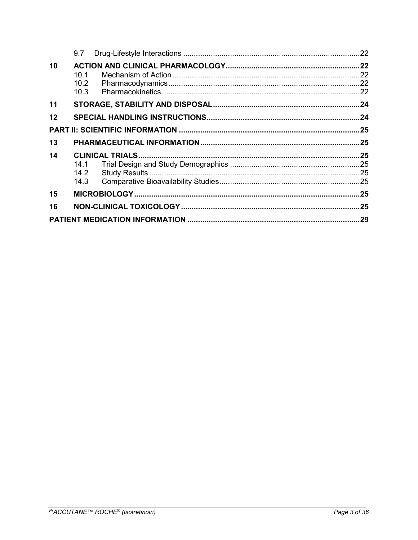|    | 9.7                               |  |
|----|-----------------------------------|--|
| 10 | 10.1<br>10.2 <sub>1</sub><br>10.3 |  |
| 11 |                                   |  |
| 12 |                                   |  |
|    |                                   |  |
| 13 |                                   |  |
| 14 | 14.1<br>14.2<br>14.3              |  |
| 15 |                                   |  |
|    |                                   |  |
| 16 |                                   |  |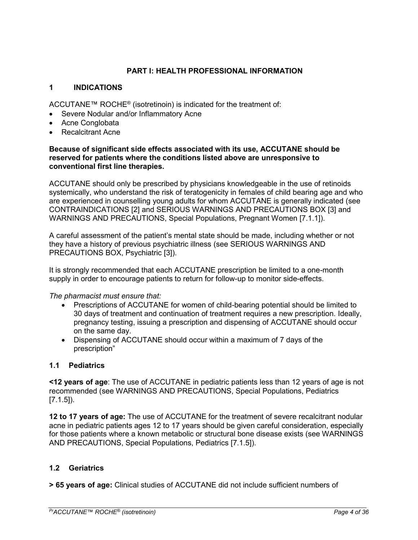## **PART I: HEALTH PROFESSIONAL INFORMATION**

## <span id="page-3-1"></span><span id="page-3-0"></span>**1 INDICATIONS**

ACCUTANE™ ROCHE<sup>®</sup> (isotretinoin) is indicated for the treatment of:

- Severe Nodular and/or Inflammatory Acne
- Acne Conglobata
- Recalcitrant Acne

#### **Because of significant side effects associated with its use, ACCUTANE should be reserved for patients where the conditions listed above are unresponsive to conventional first line therapies.**

ACCUTANE should only be prescribed by physicians knowledgeable in the use of retinoids systemically, who understand the risk of teratogenicity in females of child bearing age and who are experienced in counselling young adults for whom ACCUTANE is generally indicated (see CONTRAINDICATIONS [2] and SERIOUS WARNINGS AND PRECAUTIONS BOX [3] and WARNINGS AND PRECAUTIONS, Special Populations, Pregnant Women [7.1.1]).

A careful assessment of the patient's mental state should be made, including whether or not they have a history of previous psychiatric illness (see SERIOUS WARNINGS AND PRECAUTIONS BOX, Psychiatric [3]).

It is strongly recommended that each ACCUTANE prescription be limited to a one-month supply in order to encourage patients to return for follow-up to monitor side-effects.

## *The pharmacist must ensure that:*

- Prescriptions of ACCUTANE for women of child-bearing potential should be limited to 30 days of treatment and continuation of treatment requires a new prescription. Ideally, pregnancy testing, issuing a prescription and dispensing of ACCUTANE should occur on the same day.
- Dispensing of ACCUTANE should occur within a maximum of 7 days of the prescription"

## <span id="page-3-2"></span>**1.1 Pediatrics**

**<12 years of age**: The use of ACCUTANE in pediatric patients less than 12 years of age is not recommended (see WARNINGS AND PRECAUTIONS, Special Populations, Pediatrics [7.1.5]).

**12 to 17 years of age:** The use of ACCUTANE for the treatment of severe recalcitrant nodular acne in pediatric patients ages 12 to 17 years should be given careful consideration, especially for those patients where a known metabolic or structural bone disease exists (see WARNINGS AND PRECAUTIONS, Special Populations, Pediatrics [7.1.5]).

## <span id="page-3-3"></span>**1.2 Geriatrics**

**> 65 years of age:** Clinical studies of ACCUTANE did not include sufficient numbers of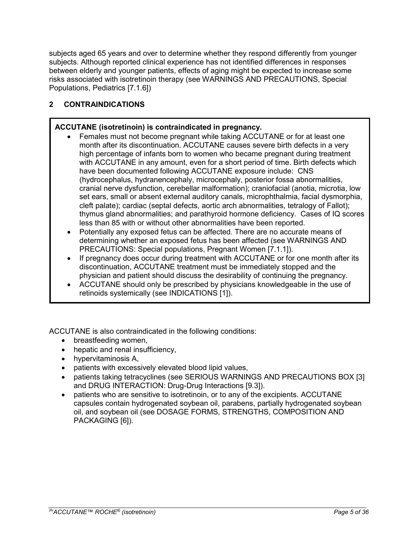subjects aged 65 years and over to determine whether they respond differently from younger subjects. Although reported clinical experience has not identified differences in responses between elderly and younger patients, effects of aging might be expected to increase some risks associated with isotretinoin therapy (see WARNINGS AND PRECAUTIONS, Special Populations, Pediatrics [7.1.6])

# <span id="page-4-0"></span>**2 CONTRAINDICATIONS**

# **ACCUTANE (isotretinoin) is contraindicated in pregnancy.**

- Females must not become pregnant while taking ACCUTANE or for at least one month after its discontinuation. ACCUTANE causes severe birth defects in a very high percentage of infants born to women who became pregnant during treatment with ACCUTANE in any amount, even for a short period of time. Birth defects which have been documented following ACCUTANE exposure include: CNS (hydrocephalus, hydranencephaly, microcephaly, posterior fossa abnormalities, cranial nerve dysfunction, cerebellar malformation); craniofacial (anotia, microtia, low set ears, small or absent external auditory canals, microphthalmia, facial dysmorphia, cleft palate); cardiac (septal defects, aortic arch abnormalities, tetralogy of Fallot); thymus gland abnormalities; and parathyroid hormone deficiency. Cases of IQ scores less than 85 with or without other abnormalities have been reported.
- Potentially any exposed fetus can be affected. There are no accurate means of determining whether an exposed fetus has been affected (see WARNINGS AND PRECAUTIONS: Special populations, Pregnant Women [7.1.1]).
- If pregnancy does occur during treatment with ACCUTANE or for one month after its discontinuation, ACCUTANE treatment must be immediately stopped and the physician and patient should discuss the desirability of continuing the pregnancy.
- ACCUTANE should only be prescribed by physicians knowledgeable in the use of retinoids systemically (see INDICATIONS [1]).

ACCUTANE is also contraindicated in the following conditions:

- breastfeeding women,
- hepatic and renal insufficiency,
- hypervitaminosis A,
- patients with excessively elevated blood lipid values,
- patients taking tetracyclines (see SERIOUS WARNINGS AND PRECAUTIONS BOX [3] and DRUG INTERACTION: Drug-Drug Interactions [9.3]).
- patients who are sensitive to isotretinoin, or to any of the excipients. ACCUTANE capsules contain hydrogenated soybean oil, parabens, partially hydrogenated soybean oil, and soybean oil (see DOSAGE FORMS, STRENGTHS, COMPOSITION AND PACKAGING [6]).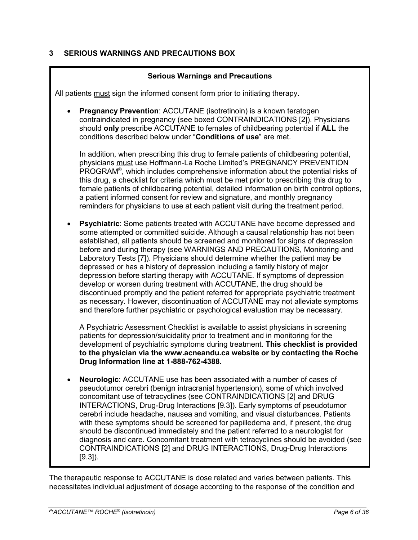# <span id="page-5-0"></span>**3 SERIOUS WARNINGS AND PRECAUTIONS BOX**

## **Serious Warnings and Precautions**

All patients must sign the informed consent form prior to initiating therapy.

**Pregnancy Prevention: ACCUTANE (isotretinoin) is a known teratogen** contraindicated in pregnancy (see boxed CONTRAINDICATIONS [2]). Physicians should **only** prescribe ACCUTANE to females of childbearing potential if **ALL** the conditions described below under "**Conditions of use**" are met.

In addition, when prescribing this drug to female patients of childbearing potential, physicians must use Hoffmann-La Roche Limited's PREGNANCY PREVENTION PROGRAM® , which includes comprehensive information about the potential risks of this drug, a checklist for criteria which must be met prior to prescribing this drug to female patients of childbearing potential, detailed information on birth control options. a patient informed consent for review and signature, and monthly pregnancy reminders for physicians to use at each patient visit during the treatment period.

 **Psychiatric**: Some patients treated with ACCUTANE have become depressed and some attempted or committed suicide. Although a causal relationship has not been established, all patients should be screened and monitored for signs of depression before and during therapy (see WARNINGS AND PRECAUTIONS, Monitoring and Laboratory Tests [7]). Physicians should determine whether the patient may be depressed or has a history of depression including a family history of major depression before starting therapy with ACCUTANE. If symptoms of depression develop or worsen during treatment with ACCUTANE, the drug should be discontinued promptly and the patient referred for appropriate psychiatric treatment as necessary. However, discontinuation of ACCUTANE may not alleviate symptoms and therefore further psychiatric or psychological evaluation may be necessary.

A Psychiatric Assessment Checklist is available to assist physicians in screening patients for depression/suicidality prior to treatment and in monitoring for the development of psychiatric symptoms during treatment. **This checklist is provided to the physician via the www.acneandu.ca website or by contacting the Roche Drug Information line at 1-888-762-4388.**

**4 CONTRAINDICATIONS [2] and DRUG INTERACTIONS, Drug-Drug Interactions 4.1 Dosing Considerations Neurologic**: ACCUTANE use has been associated with a number of cases of pseudotumor cerebri (benign intracranial hypertension), some of which involved concomitant use of tetracyclines (see CONTRAINDICATIONS [2] and DRUG INTERACTIONS, Drug-Drug Interactions [9.3]). Early symptoms of pseudotumor cerebri include headache, nausea and vomiting, and visual disturbances. Patients with these symptoms should be screened for papilledema and, if present, the drug should be discontinued immediately and the patient referred to a neurologist for diagnosis and care. Concomitant treatment with tetracyclines should be avoided (see [9.3]).

<span id="page-5-2"></span><span id="page-5-1"></span>The therapeutic response to ACCUTANE is dose related and varies between patients. This necessitates individual adjustment of dosage according to the response of the condition and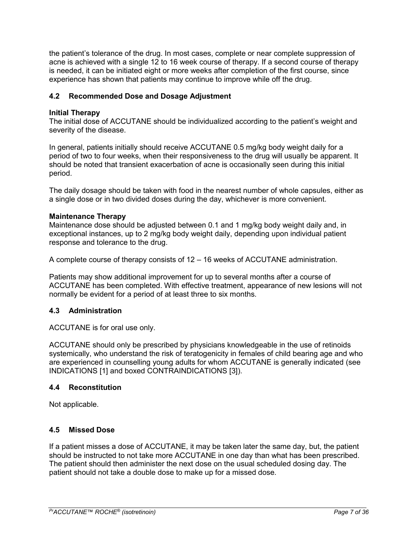the patient's tolerance of the drug. In most cases, complete or near complete suppression of acne is achieved with a single 12 to 16 week course of therapy. If a second course of therapy is needed, it can be initiated eight or more weeks after completion of the first course, since experience has shown that patients may continue to improve while off the drug.

## <span id="page-6-0"></span>**4.2 Recommended Dose and Dosage Adjustment**

## **Initial Therapy**

The initial dose of ACCUTANE should be individualized according to the patient's weight and severity of the disease.

In general, patients initially should receive ACCUTANE 0.5 mg/kg body weight daily for a period of two to four weeks, when their responsiveness to the drug will usually be apparent. It should be noted that transient exacerbation of acne is occasionally seen during this initial period.

The daily dosage should be taken with food in the nearest number of whole capsules, either as a single dose or in two divided doses during the day, whichever is more convenient.

#### **Maintenance Therapy**

Maintenance dose should be adjusted between 0.1 and 1 mg/kg body weight daily and, in exceptional instances, up to 2 mg/kg body weight daily, depending upon individual patient response and tolerance to the drug.

A complete course of therapy consists of 12 – 16 weeks of ACCUTANE administration.

Patients may show additional improvement for up to several months after a course of ACCUTANE has been completed. With effective treatment, appearance of new lesions will not normally be evident for a period of at least three to six months.

## <span id="page-6-1"></span>**4.3 Administration**

ACCUTANE is for oral use only.

ACCUTANE should only be prescribed by physicians knowledgeable in the use of retinoids systemically, who understand the risk of teratogenicity in females of child bearing age and who are experienced in counselling young adults for whom ACCUTANE is generally indicated (see INDICATIONS [1] and boxed CONTRAINDICATIONS [3]).

#### <span id="page-6-2"></span>**4.4 Reconstitution**

Not applicable.

## <span id="page-6-3"></span>**4.5 Missed Dose**

If a patient misses a dose of ACCUTANE, it may be taken later the same day, but, the patient should be instructed to not take more ACCUTANE in one day than what has been prescribed. The patient should then administer the next dose on the usual scheduled dosing day. The patient should not take a double dose to make up for a missed dose.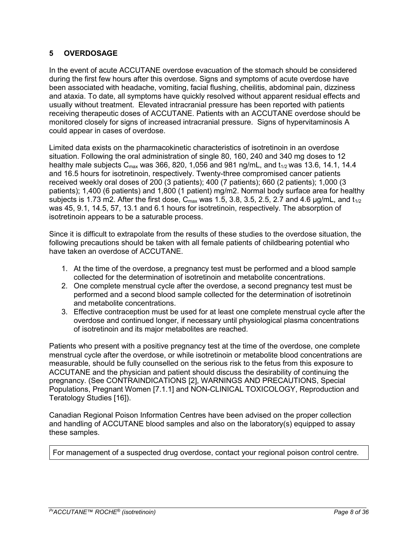# <span id="page-7-0"></span>**5 OVERDOSAGE**

In the event of acute ACCUTANE overdose evacuation of the stomach should be considered during the first few hours after this overdose. Signs and symptoms of acute overdose have been associated with headache, vomiting, facial flushing, cheilitis, abdominal pain, dizziness and ataxia. To date, all symptoms have quickly resolved without apparent residual effects and usually without treatment. Elevated intracranial pressure has been reported with patients receiving therapeutic doses of ACCUTANE. Patients with an ACCUTANE overdose should be monitored closely for signs of increased intracranial pressure. Signs of hypervitaminosis A could appear in cases of overdose.

Limited data exists on the pharmacokinetic characteristics of isotretinoin in an overdose situation. Following the oral administration of single 80, 160, 240 and 340 mg doses to 12 healthy male subjects  $C_{\text{max}}$  was 366, 820, 1,056 and 981 ng/mL, and  $t_{1/2}$  was 13.6, 14.1, 14.4 and 16.5 hours for isotretinoin, respectively. Twenty-three compromised cancer patients received weekly oral doses of 200 (3 patients); 400 (7 patients); 660 (2 patients); 1,000 (3 patients); 1,400 (6 patients) and 1,800 (1 patient) mg/m2. Normal body surface area for healthy subjects is 1.73 m2. After the first dose,  $C_{\text{max}}$  was 1.5, 3.8, 3.5, 2.5, 2.7 and 4.6 µg/mL, and  $t_{1/2}$ was 45, 9.1, 14.5, 57, 13.1 and 6.1 hours for isotretinoin, respectively. The absorption of isotretinoin appears to be a saturable process.

Since it is difficult to extrapolate from the results of these studies to the overdose situation, the following precautions should be taken with all female patients of childbearing potential who have taken an overdose of ACCUTANE.

- 1. At the time of the overdose, a pregnancy test must be performed and a blood sample collected for the determination of isotretinoin and metabolite concentrations.
- 2. One complete menstrual cycle after the overdose, a second pregnancy test must be performed and a second blood sample collected for the determination of isotretinoin and metabolite concentrations.
- 3. Effective contraception must be used for at least one complete menstrual cycle after the overdose and continued longer, if necessary until physiological plasma concentrations of isotretinoin and its major metabolites are reached.

Patients who present with a positive pregnancy test at the time of the overdose, one complete menstrual cycle after the overdose, or while isotretinoin or metabolite blood concentrations are measurable, should be fully counselled on the serious risk to the fetus from this exposure to ACCUTANE and the physician and patient should discuss the desirability of continuing the pregnancy. (See CONTRAINDICATIONS [2], WARNINGS AND PRECAUTIONS, Special Populations, Pregnant Women [7.1.1] and NON-CLINICAL TOXICOLOGY, Reproduction and Teratology Studies [16]).

Canadian Regional Poison Information Centres have been advised on the proper collection and handling of ACCUTANE blood samples and also on the laboratory(s) equipped to assay these samples.

For management of a suspected drug overdose, contact your regional poison control centre.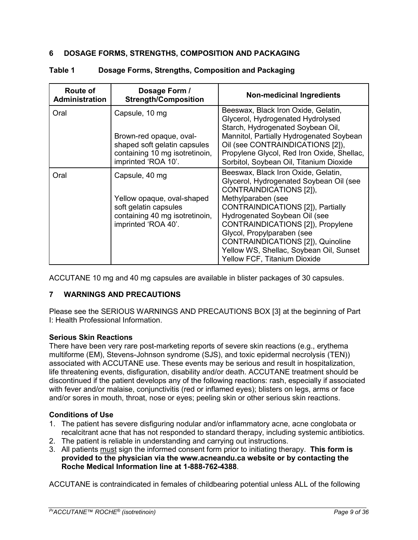## <span id="page-8-0"></span>**6 DOSAGE FORMS, STRENGTHS, COMPOSITION AND PACKAGING**

| Route of<br><b>Administration</b> | Dosage Form /<br><b>Strength/Composition</b>                                                                     | <b>Non-medicinal Ingredients</b>                                                                                                                                                                                                                                                   |
|-----------------------------------|------------------------------------------------------------------------------------------------------------------|------------------------------------------------------------------------------------------------------------------------------------------------------------------------------------------------------------------------------------------------------------------------------------|
| Oral                              | Capsule, 10 mg                                                                                                   | Beeswax, Black Iron Oxide, Gelatin,<br>Glycerol, Hydrogenated Hydrolysed                                                                                                                                                                                                           |
|                                   | Brown-red opaque, oval-<br>shaped soft gelatin capsules<br>containing 10 mg isotretinoin,<br>imprinted 'ROA 10'. | Starch, Hydrogenated Soybean Oil,<br>Mannitol, Partially Hydrogenated Soybean<br>Oil (see CONTRAINDICATIONS [2]),<br>Propylene Glycol, Red Iron Oxide, Shellac,<br>Sorbitol, Soybean Oil, Titanium Dioxide                                                                         |
| Oral                              | Capsule, 40 mg                                                                                                   | Beeswax, Black Iron Oxide, Gelatin,<br>Glycerol, Hydrogenated Soybean Oil (see<br>CONTRAINDICATIONS [2]),                                                                                                                                                                          |
|                                   | Yellow opaque, oval-shaped<br>soft gelatin capsules<br>containing 40 mg isotretinoin,<br>imprinted 'ROA 40'.     | Methylparaben (see<br>CONTRAINDICATIONS [2]), Partially<br>Hydrogenated Soybean Oil (see<br>CONTRAINDICATIONS [2]), Propylene<br>Glycol, Propylparaben (see<br><b>CONTRAINDICATIONS [2]), Quinoline</b><br>Yellow WS, Shellac, Soybean Oil, Sunset<br>Yellow FCF, Titanium Dioxide |

## **Table 1 Dosage Forms, Strengths, Composition and Packaging**

ACCUTANE 10 mg and 40 mg capsules are available in blister packages of 30 capsules.

# <span id="page-8-1"></span>**7 WARNINGS AND PRECAUTIONS**

Please see the SERIOUS WARNINGS AND PRECAUTIONS BOX [3] at the beginning of Part I: Health Professional Information.

# **Serious Skin Reactions**

There have been very rare post-marketing reports of severe skin reactions (e.g., erythema multiforme (EM), Stevens-Johnson syndrome (SJS), and toxic epidermal necrolysis (TEN)) associated with ACCUTANE use. These events may be serious and result in hospitalization, life threatening events, disfiguration, disability and/or death. ACCUTANE treatment should be discontinued if the patient develops any of the following reactions: rash, especially if associated with fever and/or malaise, conjunctivitis (red or inflamed eyes); blisters on legs, arms or face and/or sores in mouth, throat, nose or eyes; peeling skin or other serious skin reactions.

# **Conditions of Use**

- 1. The patient has severe disfiguring nodular and/or inflammatory acne, acne conglobata or recalcitrant acne that has not responded to standard therapy, including systemic antibiotics.
- 2. The patient is reliable in understanding and carrying out instructions.
- 3. All patients must sign the informed consent form prior to initiating therapy. **This form is provided to the physician via the www.acneandu.ca website or by contacting the Roche Medical Information line at 1-888-762-4388**.

ACCUTANE is contraindicated in females of childbearing potential unless ALL of the following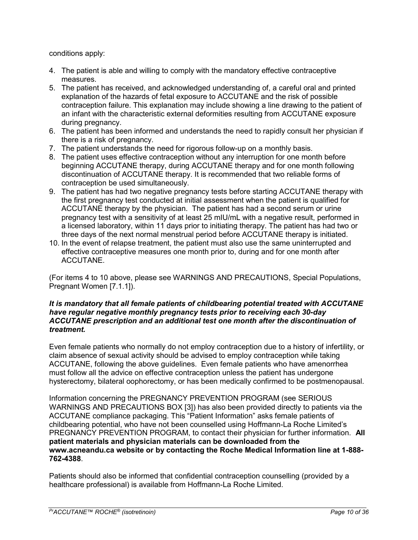conditions apply:

- 4. The patient is able and willing to comply with the mandatory effective contraceptive measures.
- 5. The patient has received, and acknowledged understanding of, a careful oral and printed explanation of the hazards of fetal exposure to ACCUTANE and the risk of possible contraception failure. This explanation may include showing a line drawing to the patient of an infant with the characteristic external deformities resulting from ACCUTANE exposure during pregnancy.
- 6. The patient has been informed and understands the need to rapidly consult her physician if there is a risk of pregnancy.
- 7. The patient understands the need for rigorous follow-up on a monthly basis.
- 8. The patient uses effective contraception without any interruption for one month before beginning ACCUTANE therapy, during ACCUTANE therapy and for one month following discontinuation of ACCUTANE therapy. It is recommended that two reliable forms of contraception be used simultaneously.
- 9. The patient has had two negative pregnancy tests before starting ACCUTANE therapy with the first pregnancy test conducted at initial assessment when the patient is qualified for ACCUTANE therapy by the physician. The patient has had a second serum or urine pregnancy test with a sensitivity of at least 25 mIU/mL with a negative result, performed in a licensed laboratory, within 11 days prior to initiating therapy. The patient has had two or three days of the next normal menstrual period before ACCUTANE therapy is initiated.
- 10. In the event of relapse treatment, the patient must also use the same uninterrupted and effective contraceptive measures one month prior to, during and for one month after ACCUTANE.

(For items 4 to 10 above, please see WARNINGS AND PRECAUTIONS, Special Populations, Pregnant Women [7.1.1]).

#### *It is mandatory that all female patients of childbearing potential treated with ACCUTANE have regular negative monthly pregnancy tests prior to receiving each 30-day ACCUTANE prescription and an additional test one month after the discontinuation of treatment.*

Even female patients who normally do not employ contraception due to a history of infertility, or claim absence of sexual activity should be advised to employ contraception while taking ACCUTANE, following the above guidelines. Even female patients who have amenorrhea must follow all the advice on effective contraception unless the patient has undergone hysterectomy, bilateral oophorectomy, or has been medically confirmed to be postmenopausal.

Information concerning the PREGNANCY PREVENTION PROGRAM (see SERIOUS WARNINGS AND PRECAUTIONS BOX [3]) has also been provided directly to patients via the ACCUTANE compliance packaging. This "Patient Information" asks female patients of childbearing potential, who have not been counselled using Hoffmann-La Roche Limited's PREGNANCY PREVENTION PROGRAM, to contact their physician for further information. **All patient materials and physician materials can be downloaded from the www.acneandu.ca website or by contacting the Roche Medical Information line at 1-888- 762-4388**.

Patients should also be informed that confidential contraception counselling (provided by a healthcare professional) is available from Hoffmann-La Roche Limited.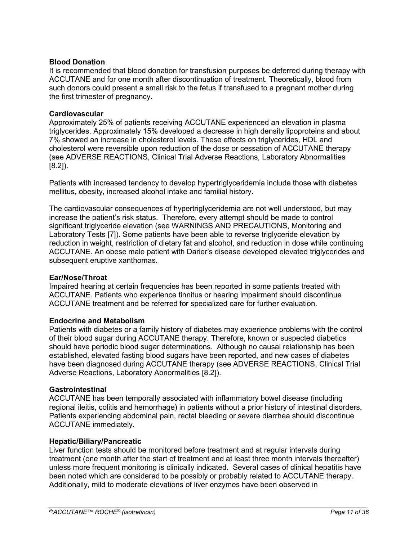#### **Blood Donation**

It is recommended that blood donation for transfusion purposes be deferred during therapy with ACCUTANE and for one month after discontinuation of treatment. Theoretically, blood from such donors could present a small risk to the fetus if transfused to a pregnant mother during the first trimester of pregnancy.

#### **Cardiovascular**

Approximately 25% of patients receiving ACCUTANE experienced an elevation in plasma triglycerides. Approximately 15% developed a decrease in high density lipoproteins and about 7% showed an increase in cholesterol levels. These effects on triglycerides, HDL and cholesterol were reversible upon reduction of the dose or cessation of ACCUTANE therapy (see ADVERSE REACTIONS, Clinical Trial Adverse Reactions, Laboratory Abnormalities [8.2]).

Patients with increased tendency to develop hypertriglyceridemia include those with diabetes mellitus, obesity, increased alcohol intake and familial history.

The cardiovascular consequences of hypertriglyceridemia are not well understood, but may increase the patient's risk status. Therefore, every attempt should be made to control significant triglyceride elevation (see WARNINGS AND PRECAUTIONS, Monitoring and Laboratory Tests [7]). Some patients have been able to reverse triglyceride elevation by reduction in weight, restriction of dietary fat and alcohol, and reduction in dose while continuing ACCUTANE. An obese male patient with Darier's disease developed elevated triglycerides and subsequent eruptive xanthomas.

#### **Ear/Nose/Throat**

Impaired hearing at certain frequencies has been reported in some patients treated with ACCUTANE. Patients who experience tinnitus or hearing impairment should discontinue ACCUTANE treatment and be referred for specialized care for further evaluation.

## **Endocrine and Metabolism**

Patients with diabetes or a family history of diabetes may experience problems with the control of their blood sugar during ACCUTANE therapy. Therefore, known or suspected diabetics should have periodic blood sugar determinations. Although no causal relationship has been established, elevated fasting blood sugars have been reported, and new cases of diabetes have been diagnosed during ACCUTANE therapy (see ADVERSE REACTIONS, Clinical Trial Adverse Reactions, Laboratory Abnormalities [8.2]).

#### **Gastrointestinal**

ACCUTANE has been temporally associated with inflammatory bowel disease (including regional ileitis, colitis and hemorrhage) in patients without a prior history of intestinal disorders. Patients experiencing abdominal pain, rectal bleeding or severe diarrhea should discontinue ACCUTANE immediately.

#### **Hepatic/Biliary/Pancreatic**

Liver function tests should be monitored before treatment and at regular intervals during treatment (one month after the start of treatment and at least three month intervals thereafter) unless more frequent monitoring is clinically indicated. Several cases of clinical hepatitis have been noted which are considered to be possibly or probably related to ACCUTANE therapy. Additionally, mild to moderate elevations of liver enzymes have been observed in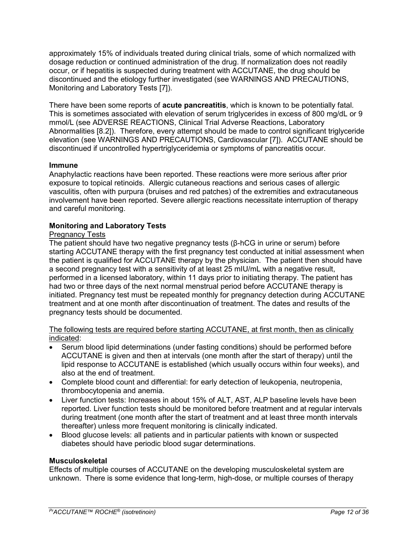approximately 15% of individuals treated during clinical trials, some of which normalized with dosage reduction or continued administration of the drug. If normalization does not readily occur, or if hepatitis is suspected during treatment with ACCUTANE, the drug should be discontinued and the etiology further investigated (see WARNINGS AND PRECAUTIONS, Monitoring and Laboratory Tests [7]).

There have been some reports of **acute pancreatitis**, which is known to be potentially fatal. This is sometimes associated with elevation of serum triglycerides in excess of 800 mg/dL or 9 mmol/L (see ADVERSE REACTIONS, Clinical Trial Adverse Reactions, Laboratory Abnormalities [8.2]). Therefore, every attempt should be made to control significant triglyceride elevation (see WARNINGS AND PRECAUTIONS, Cardiovascular [7]). ACCUTANE should be discontinued if uncontrolled hypertriglyceridemia or symptoms of pancreatitis occur.

## **Immune**

Anaphylactic reactions have been reported. These reactions were more serious after prior exposure to topical retinoids. Allergic cutaneous reactions and serious cases of allergic vasculitis, often with purpura (bruises and red patches) of the extremities and extracutaneous involvement have been reported. Severe allergic reactions necessitate interruption of therapy and careful monitoring.

## **Monitoring and Laboratory Tests**

## Pregnancy Tests

The patient should have two negative pregnancy tests (β-hCG in urine or serum) before starting ACCUTANE therapy with the first pregnancy test conducted at initial assessment when the patient is qualified for ACCUTANE therapy by the physician. The patient then should have a second pregnancy test with a sensitivity of at least 25 mIU/mL with a negative result, performed in a licensed laboratory, within 11 days prior to initiating therapy. The patient has had two or three days of the next normal menstrual period before ACCUTANE therapy is initiated. Pregnancy test must be repeated monthly for pregnancy detection during ACCUTANE treatment and at one month after discontinuation of treatment. The dates and results of the pregnancy tests should be documented.

The following tests are required before starting ACCUTANE, at first month, then as clinically indicated:

- Serum blood lipid determinations (under fasting conditions) should be performed before ACCUTANE is given and then at intervals (one month after the start of therapy) until the lipid response to ACCUTANE is established (which usually occurs within four weeks), and also at the end of treatment.
- Complete blood count and differential: for early detection of leukopenia, neutropenia, thrombocytopenia and anemia.
- Liver function tests: Increases in about 15% of ALT, AST, ALP baseline levels have been reported. Liver function tests should be monitored before treatment and at regular intervals during treatment (one month after the start of treatment and at least three month intervals thereafter) unless more frequent monitoring is clinically indicated.
- Blood glucose levels: all patients and in particular patients with known or suspected diabetes should have periodic blood sugar determinations.

#### **Musculoskeletal**

Effects of multiple courses of ACCUTANE on the developing musculoskeletal system are unknown. There is some evidence that long-term, high-dose, or multiple courses of therapy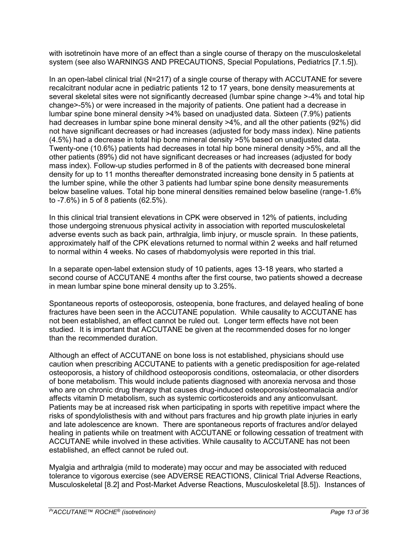with isotretinoin have more of an effect than a single course of therapy on the musculoskeletal system (see also WARNINGS AND PRECAUTIONS, Special Populations, Pediatrics [7.1.5]).

In an open-label clinical trial (N=217) of a single course of therapy with ACCUTANE for severe recalcitrant nodular acne in pediatric patients 12 to 17 years, bone density measurements at several skeletal sites were not significantly decreased (lumbar spine change >-4% and total hip change>-5%) or were increased in the majority of patients. One patient had a decrease in lumbar spine bone mineral density >4% based on unadjusted data. Sixteen (7.9%) patients had decreases in lumbar spine bone mineral density >4%, and all the other patients (92%) did not have significant decreases or had increases (adjusted for body mass index). Nine patients (4.5%) had a decrease in total hip bone mineral density >5% based on unadjusted data. Twenty-one (10.6%) patients had decreases in total hip bone mineral density >5%, and all the other patients (89%) did not have significant decreases or had increases (adjusted for body mass index). Follow-up studies performed in 8 of the patients with decreased bone mineral density for up to 11 months thereafter demonstrated increasing bone density in 5 patients at the lumber spine, while the other 3 patients had lumbar spine bone density measurements below baseline values. Total hip bone mineral densities remained below baseline (range-1.6% to -7.6%) in 5 of 8 patients (62.5%).

In this clinical trial transient elevations in CPK were observed in 12% of patients, including those undergoing strenuous physical activity in association with reported musculoskeletal adverse events such as back pain, arthralgia, limb injury, or muscle sprain. In these patients, approximately half of the CPK elevations returned to normal within 2 weeks and half returned to normal within 4 weeks. No cases of rhabdomyolysis were reported in this trial.

In a separate open-label extension study of 10 patients, ages 13-18 years, who started a second course of ACCUTANE 4 months after the first course, two patients showed a decrease in mean lumbar spine bone mineral density up to 3.25%.

Spontaneous reports of osteoporosis, osteopenia, bone fractures, and delayed healing of bone fractures have been seen in the ACCUTANE population. While causality to ACCUTANE has not been established, an effect cannot be ruled out. Longer term effects have not been studied. It is important that ACCUTANE be given at the recommended doses for no longer than the recommended duration.

Although an effect of ACCUTANE on bone loss is not established, physicians should use caution when prescribing ACCUTANE to patients with a genetic predisposition for age-related osteoporosis, a history of childhood osteoporosis conditions, osteomalacia, or other disorders of bone metabolism. This would include patients diagnosed with anorexia nervosa and those who are on chronic drug therapy that causes drug-induced osteoporosis/osteomalacia and/or affects vitamin D metabolism, such as systemic corticosteroids and any anticonvulsant. Patients may be at increased risk when participating in sports with repetitive impact where the risks of spondylolisthesis with and without pars fractures and hip growth plate injuries in early and late adolescence are known. There are spontaneous reports of fractures and/or delayed healing in patients while on treatment with ACCUTANE or following cessation of treatment with ACCUTANE while involved in these activities. While causality to ACCUTANE has not been established, an effect cannot be ruled out.

Myalgia and arthralgia (mild to moderate) may occur and may be associated with reduced tolerance to vigorous exercise (see ADVERSE REACTIONS, Clinical Trial Adverse Reactions, Musculoskeletal [8.2] and Post-Market Adverse Reactions, Musculoskeletal [8.5]). Instances of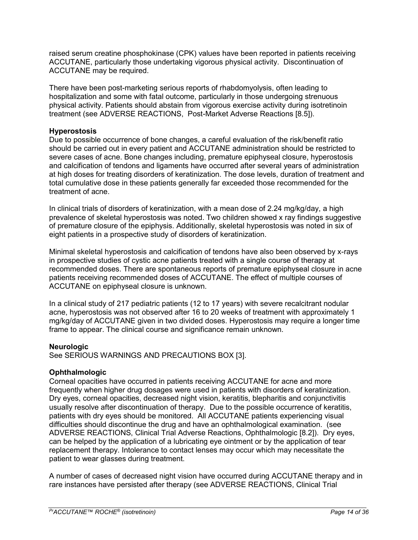raised serum creatine phosphokinase (CPK) values have been reported in patients receiving ACCUTANE, particularly those undertaking vigorous physical activity. Discontinuation of ACCUTANE may be required.

There have been post-marketing serious reports of rhabdomyolysis, often leading to hospitalization and some with fatal outcome, particularly in those undergoing strenuous physical activity. Patients should abstain from vigorous exercise activity during isotretinoin treatment (see ADVERSE REACTIONS, Post-Market Adverse Reactions [8.5]).

## **Hyperostosis**

Due to possible occurrence of bone changes, a careful evaluation of the risk/benefit ratio should be carried out in every patient and ACCUTANE administration should be restricted to severe cases of acne. Bone changes including, premature epiphyseal closure, hyperostosis and calcification of tendons and ligaments have occurred after several years of administration at high doses for treating disorders of keratinization. The dose levels, duration of treatment and total cumulative dose in these patients generally far exceeded those recommended for the treatment of acne.

In clinical trials of disorders of keratinization, with a mean dose of 2.24 mg/kg/day, a high prevalence of skeletal hyperostosis was noted. Two children showed x ray findings suggestive of premature closure of the epiphysis. Additionally, skeletal hyperostosis was noted in six of eight patients in a prospective study of disorders of keratinization.

Minimal skeletal hyperostosis and calcification of tendons have also been observed by x-rays in prospective studies of cystic acne patients treated with a single course of therapy at recommended doses. There are spontaneous reports of premature epiphyseal closure in acne patients receiving recommended doses of ACCUTANE. The effect of multiple courses of ACCUTANE on epiphyseal closure is unknown.

In a clinical study of 217 pediatric patients (12 to 17 years) with severe recalcitrant nodular acne, hyperostosis was not observed after 16 to 20 weeks of treatment with approximately 1 mg/kg/day of ACCUTANE given in two divided doses. Hyperostosis may require a longer time frame to appear. The clinical course and significance remain unknown.

## **Neurologic**

See SERIOUS WARNINGS AND PRECAUTIONS BOX [3].

# **Ophthalmologic**

Corneal opacities have occurred in patients receiving ACCUTANE for acne and more frequently when higher drug dosages were used in patients with disorders of keratinization. Dry eyes, corneal opacities, decreased night vision, keratitis, blepharitis and conjunctivitis usually resolve after discontinuation of therapy. Due to the possible occurrence of keratitis, patients with dry eyes should be monitored. All ACCUTANE patients experiencing visual difficulties should discontinue the drug and have an ophthalmological examination. (see ADVERSE REACTIONS, Clinical Trial Adverse Reactions, Ophthalmologic [8.2]). Dry eyes, can be helped by the application of a lubricating eye ointment or by the application of tear replacement therapy. Intolerance to contact lenses may occur which may necessitate the patient to wear glasses during treatment.

A number of cases of decreased night vision have occurred during ACCUTANE therapy and in rare instances have persisted after therapy (see ADVERSE REACTIONS, Clinical Trial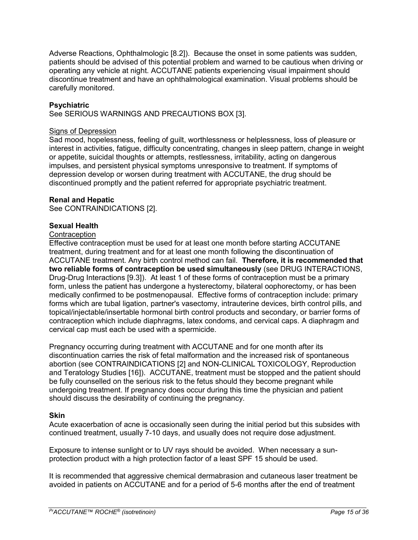Adverse Reactions, Ophthalmologic [8.2]). Because the onset in some patients was sudden, patients should be advised of this potential problem and warned to be cautious when driving or operating any vehicle at night. ACCUTANE patients experiencing visual impairment should discontinue treatment and have an ophthalmological examination. Visual problems should be carefully monitored.

## **Psychiatric**

See SERIOUS WARNINGS AND PRECAUTIONS BOX [3].

#### Signs of Depression

Sad mood, hopelessness, feeling of guilt, worthlessness or helplessness, loss of pleasure or interest in activities, fatigue, difficulty concentrating, changes in sleep pattern, change in weight or appetite, suicidal thoughts or attempts, restlessness, irritability, acting on dangerous impulses, and persistent physical symptoms unresponsive to treatment. If symptoms of depression develop or worsen during treatment with ACCUTANE, the drug should be discontinued promptly and the patient referred for appropriate psychiatric treatment.

#### **Renal and Hepatic**

See CONTRAINDICATIONS [2].

## **Sexual Health**

## **Contraception**

Effective contraception must be used for at least one month before starting ACCUTANE treatment, during treatment and for at least one month following the discontinuation of ACCUTANE treatment. Any birth control method can fail. **Therefore, it is recommended that two reliable forms of contraception be used simultaneously** (see DRUG INTERACTIONS, Drug-Drug Interactions [9.3]). At least 1 of these forms of contraception must be a primary form, unless the patient has undergone a hysterectomy, bilateral oophorectomy, or has been medically confirmed to be postmenopausal. Effective forms of contraception include: primary forms which are tubal ligation, partner's vasectomy, intrauterine devices, birth control pills, and topical/injectable/insertable hormonal birth control products and secondary, or barrier forms of contraception which include diaphragms, latex condoms, and cervical caps. A diaphragm and cervical cap must each be used with a spermicide.

Pregnancy occurring during treatment with ACCUTANE and for one month after its discontinuation carries the risk of fetal malformation and the increased risk of spontaneous abortion (see CONTRAINDICATIONS [2] and NON-CLINICAL TOXICOLOGY, Reproduction and Teratology Studies [16]). ACCUTANE, treatment must be stopped and the patient should be fully counselled on the serious risk to the fetus should they become pregnant while undergoing treatment. If pregnancy does occur during this time the physician and patient should discuss the desirability of continuing the pregnancy.

## **Skin**

Acute exacerbation of acne is occasionally seen during the initial period but this subsides with continued treatment, usually 7-10 days, and usually does not require dose adjustment.

Exposure to intense sunlight or to UV rays should be avoided. When necessary a sunprotection product with a high protection factor of a least SPF 15 should be used.

It is recommended that aggressive chemical dermabrasion and cutaneous laser treatment be avoided in patients on ACCUTANE and for a period of 5-6 months after the end of treatment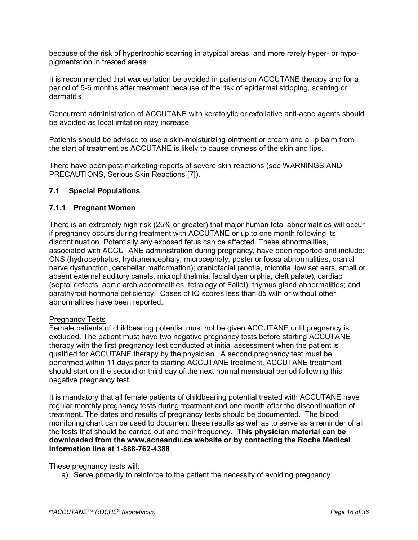because of the risk of hypertrophic scarring in atypical areas, and more rarely hyper- or hypopigmentation in treated areas.

It is recommended that wax epilation be avoided in patients on ACCUTANE therapy and for a period of 5-6 months after treatment because of the risk of epidermal stripping, scarring or dermatitis.

Concurrent administration of ACCUTANE with keratolytic or exfoliative anti-acne agents should be avoided as local irritation may increase.

Patients should be advised to use a skin-moisturizing ointment or cream and a lip balm from the start of treatment as ACCUTANE is likely to cause dryness of the skin and lips.

There have been post-marketing reports of severe skin reactions (see WARNINGS AND PRECAUTIONS, Serious Skin Reactions [7]).

## <span id="page-15-0"></span>**7.1 Special Populations**

## <span id="page-15-1"></span>**7.1.1 Pregnant Women**

There is an extremely high risk (25% or greater) that major human fetal abnormalities will occur if pregnancy occurs during treatment with ACCUTANE or up to one month following its discontinuation. Potentially any exposed fetus can be affected. These abnormalities, associated with ACCUTANE administration during pregnancy, have been reported and include: CNS (hydrocephalus, hydranencephaly, microcephaly, posterior fossa abnormalities, cranial nerve dysfunction, cerebellar malformation); craniofacial (anotia, microtia, low set ears, small or absent external auditory canals, microphthalmia, facial dysmorphia, cleft palate); cardiac (septal defects, aortic arch abnormalities, tetralogy of Fallot); thymus gland abnormalities; and parathyroid hormone deficiency. Cases of IQ scores less than 85 with or without other abnormalities have been reported.

## Pregnancy Tests

Female patients of childbearing potential must not be given ACCUTANE until pregnancy is excluded. The patient must have two negative pregnancy tests before starting ACCUTANE therapy with the first pregnancy test conducted at initial assessment when the patient is qualified for ACCUTANE therapy by the physician. A second pregnancy test must be performed within 11 days prior to starting ACCUTANE treatment. ACCUTANE treatment should start on the second or third day of the next normal menstrual period following this negative pregnancy test.

It is mandatory that all female patients of childbearing potential treated with ACCUTANE have regular monthly pregnancy tests during treatment and one month after the discontinuation of treatment. The dates and results of pregnancy tests should be documented. The blood monitoring chart can be used to document these results as well as to serve as a reminder of all the tests that should be carried out and their frequency. **This physician material can be downloaded from the www.acneandu.ca website or by contacting the Roche Medical Information line at 1-888-762-4388**.

These pregnancy tests will:

a) Serve primarily to reinforce to the patient the necessity of avoiding pregnancy.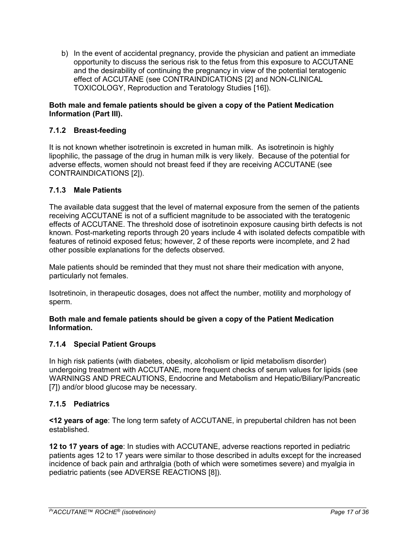b) In the event of accidental pregnancy, provide the physician and patient an immediate opportunity to discuss the serious risk to the fetus from this exposure to ACCUTANE and the desirability of continuing the pregnancy in view of the potential teratogenic effect of ACCUTANE (see CONTRAINDICATIONS [2] and NON-CLINICAL TOXICOLOGY, Reproduction and Teratology Studies [16]).

## **Both male and female patients should be given a copy of the Patient Medication Information (Part III).**

# <span id="page-16-0"></span>**7.1.2 Breast-feeding**

It is not known whether isotretinoin is excreted in human milk. As isotretinoin is highly lipophilic, the passage of the drug in human milk is very likely. Because of the potential for adverse effects, women should not breast feed if they are receiving ACCUTANE (see CONTRAINDICATIONS [2]).

## <span id="page-16-1"></span>**7.1.3 Male Patients**

The available data suggest that the level of maternal exposure from the semen of the patients receiving ACCUTANE is not of a sufficient magnitude to be associated with the teratogenic effects of ACCUTANE. The threshold dose of isotretinoin exposure causing birth defects is not known. Post-marketing reports through 20 years include 4 with isolated defects compatible with features of retinoid exposed fetus; however, 2 of these reports were incomplete, and 2 had other possible explanations for the defects observed.

Male patients should be reminded that they must not share their medication with anyone, particularly not females.

Isotretinoin, in therapeutic dosages, does not affect the number, motility and morphology of sperm.

## **Both male and female patients should be given a copy of the Patient Medication Information.**

# <span id="page-16-2"></span>**7.1.4 Special Patient Groups**

In high risk patients (with diabetes, obesity, alcoholism or lipid metabolism disorder) undergoing treatment with ACCUTANE, more frequent checks of serum values for lipids (see WARNINGS AND PRECAUTIONS, Endocrine and Metabolism and Hepatic/Biliary/Pancreatic [7]) and/or blood glucose may be necessary.

# <span id="page-16-3"></span>**7.1.5 Pediatrics**

**<12 years of age**: The long term safety of ACCUTANE, in prepubertal children has not been established.

**12 to 17 years of age**: In studies with ACCUTANE, adverse reactions reported in pediatric patients ages 12 to 17 years were similar to those described in adults except for the increased incidence of back pain and arthralgia (both of which were sometimes severe) and myalgia in pediatric patients (see ADVERSE REACTIONS [8]).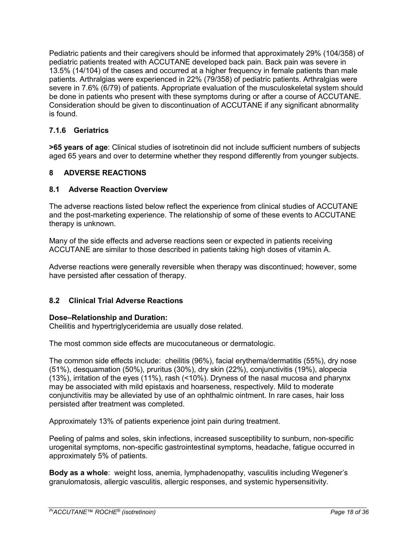Pediatric patients and their caregivers should be informed that approximately 29% (104/358) of pediatric patients treated with ACCUTANE developed back pain. Back pain was severe in 13.5% (14/104) of the cases and occurred at a higher frequency in female patients than male patients. Arthralgias were experienced in 22% (79/358) of pediatric patients. Arthralgias were severe in 7.6% (6/79) of patients. Appropriate evaluation of the musculoskeletal system should be done in patients who present with these symptoms during or after a course of ACCUTANE. Consideration should be given to discontinuation of ACCUTANE if any significant abnormality is found.

# <span id="page-17-0"></span>**7.1.6 Geriatrics**

**>65 years of age**: Clinical studies of isotretinoin did not include sufficient numbers of subjects aged 65 years and over to determine whether they respond differently from younger subjects.

# <span id="page-17-1"></span>**8 ADVERSE REACTIONS**

# <span id="page-17-2"></span>**8.1 Adverse Reaction Overview**

The adverse reactions listed below reflect the experience from clinical studies of ACCUTANE and the post-marketing experience. The relationship of some of these events to ACCUTANE therapy is unknown.

Many of the side effects and adverse reactions seen or expected in patients receiving ACCUTANE are similar to those described in patients taking high doses of vitamin A.

Adverse reactions were generally reversible when therapy was discontinued; however, some have persisted after cessation of therapy.

# <span id="page-17-3"></span>**8.2 Clinical Trial Adverse Reactions**

## **Dose–Relationship and Duration:**

Cheilitis and hypertriglyceridemia are usually dose related.

The most common side effects are mucocutaneous or dermatologic.

The common side effects include: cheilitis (96%), facial erythema/dermatitis (55%), dry nose (51%), desquamation (50%), pruritus (30%), dry skin (22%), conjunctivitis (19%), alopecia (13%), irritation of the eyes (11%), rash (<10%). Dryness of the nasal mucosa and pharynx may be associated with mild epistaxis and hoarseness, respectively. Mild to moderate conjunctivitis may be alleviated by use of an ophthalmic ointment. In rare cases, hair loss persisted after treatment was completed.

Approximately 13% of patients experience joint pain during treatment.

Peeling of palms and soles, skin infections, increased susceptibility to sunburn, non-specific urogenital symptoms, non-specific gastrointestinal symptoms, headache, fatigue occurred in approximately 5% of patients.

**Body as a whole**: weight loss, anemia, lymphadenopathy, vasculitis including Wegener's granulomatosis, allergic vasculitis, allergic responses, and systemic hypersensitivity.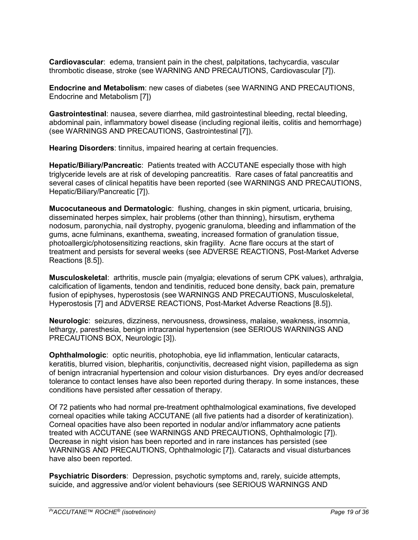**Cardiovascular**: edema, transient pain in the chest, palpitations, tachycardia, vascular thrombotic disease, stroke (see WARNING AND PRECAUTIONS, Cardiovascular [7]).

**Endocrine and Metabolism**: new cases of diabetes (see WARNING AND PRECAUTIONS, Endocrine and Metabolism [7])

**Gastrointestinal**: nausea, severe diarrhea, mild gastrointestinal bleeding, rectal bleeding, abdominal pain, inflammatory bowel disease (including regional ileitis, colitis and hemorrhage) (see WARNINGS AND PRECAUTIONS, Gastrointestinal [7]).

**Hearing Disorders**: tinnitus, impaired hearing at certain frequencies.

**Hepatic/Biliary/Pancreatic**: Patients treated with ACCUTANE especially those with high triglyceride levels are at risk of developing pancreatitis. Rare cases of fatal pancreatitis and several cases of clinical hepatitis have been reported (see WARNINGS AND PRECAUTIONS, Hepatic/Biliary/Pancreatic [7]).

**Mucocutaneous and Dermatologic**: flushing, changes in skin pigment, urticaria, bruising, disseminated herpes simplex, hair problems (other than thinning), hirsutism, erythema nodosum, paronychia, nail dystrophy, pyogenic granuloma, bleeding and inflammation of the gums, acne fulminans, exanthema, sweating, increased formation of granulation tissue, photoallergic/photosensitizing reactions, skin fragility. Acne flare occurs at the start of treatment and persists for several weeks (see ADVERSE REACTIONS, Post-Market Adverse Reactions [8.5]).

**Musculoskeletal**: arthritis, muscle pain (myalgia; elevations of serum CPK values), arthralgia, calcification of ligaments, tendon and tendinitis, reduced bone density, back pain, premature fusion of epiphyses, hyperostosis (see WARNINGS AND PRECAUTIONS, Musculoskeletal, Hyperostosis [7] and ADVERSE REACTIONS, Post-Market Adverse Reactions [8.5]).

**Neurologic**: seizures, dizziness, nervousness, drowsiness, malaise, weakness, insomnia, lethargy, paresthesia, benign intracranial hypertension (see SERIOUS WARNINGS AND PRECAUTIONS BOX, Neurologic [3]).

**Ophthalmologic**: optic neuritis, photophobia, eye lid inflammation, lenticular cataracts, keratitis, blurred vision, blepharitis, conjunctivitis, decreased night vision, papilledema as sign of benign intracranial hypertension and colour vision disturbances. Dry eyes and/or decreased tolerance to contact lenses have also been reported during therapy. In some instances, these conditions have persisted after cessation of therapy.

Of 72 patients who had normal pre-treatment ophthalmological examinations, five developed corneal opacities while taking ACCUTANE (all five patients had a disorder of keratinization). Corneal opacities have also been reported in nodular and/or inflammatory acne patients treated with ACCUTANE (see WARNINGS AND PRECAUTIONS, Ophthalmologic [7]). Decrease in night vision has been reported and in rare instances has persisted (see WARNINGS AND PRECAUTIONS, Ophthalmologic [7]). Cataracts and visual disturbances have also been reported.

**Psychiatric Disorders**: Depression, psychotic symptoms and, rarely, suicide attempts, suicide, and aggressive and/or violent behaviours (see SERIOUS WARNINGS AND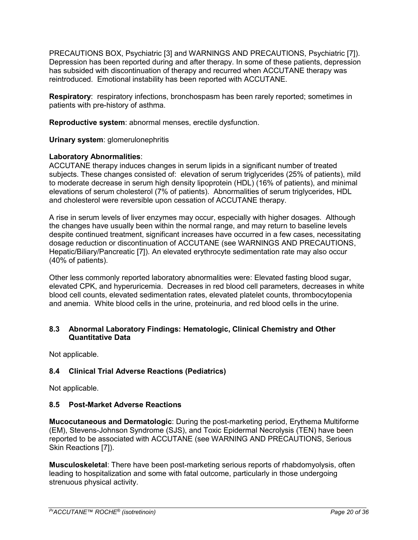PRECAUTIONS BOX, Psychiatric [3] and WARNINGS AND PRECAUTIONS, Psychiatric [7]). Depression has been reported during and after therapy. In some of these patients, depression has subsided with discontinuation of therapy and recurred when ACCUTANE therapy was reintroduced. Emotional instability has been reported with ACCUTANE.

**Respiratory:** respiratory infections, bronchospasm has been rarely reported; sometimes in patients with pre-history of asthma.

**Reproductive system**: abnormal menses, erectile dysfunction.

**Urinary system**: glomerulonephritis

## **Laboratory Abnormalities**:

ACCUTANE therapy induces changes in serum lipids in a significant number of treated subjects. These changes consisted of: elevation of serum triglycerides (25% of patients), mild to moderate decrease in serum high density lipoprotein (HDL) (16% of patients), and minimal elevations of serum cholesterol (7% of patients). Abnormalities of serum triglycerides, HDL and cholesterol were reversible upon cessation of ACCUTANE therapy.

A rise in serum levels of liver enzymes may occur, especially with higher dosages. Although the changes have usually been within the normal range, and may return to baseline levels despite continued treatment, significant increases have occurred in a few cases, necessitating dosage reduction or discontinuation of ACCUTANE (see WARNINGS AND PRECAUTIONS, Hepatic/Biliary/Pancreatic [7]). An elevated erythrocyte sedimentation rate may also occur (40% of patients).

Other less commonly reported laboratory abnormalities were: Elevated fasting blood sugar, elevated CPK, and hyperuricemia. Decreases in red blood cell parameters, decreases in white blood cell counts, elevated sedimentation rates, elevated platelet counts, thrombocytopenia and anemia. White blood cells in the urine, proteinuria, and red blood cells in the urine.

## <span id="page-19-0"></span>**8.3 Abnormal Laboratory Findings: Hematologic, Clinical Chemistry and Other Quantitative Data**

Not applicable.

# <span id="page-19-1"></span>**8.4 Clinical Trial Adverse Reactions (Pediatrics)**

Not applicable.

# <span id="page-19-2"></span>**8.5 Post-Market Adverse Reactions**

**Mucocutaneous and Dermatologic**: During the post-marketing period, Erythema Multiforme (EM), Stevens-Johnson Syndrome (SJS), and Toxic Epidermal Necrolysis (TEN) have been reported to be associated with ACCUTANE (see WARNING AND PRECAUTIONS, Serious Skin Reactions [7]).

**Musculoskeletal**: There have been post-marketing serious reports of rhabdomyolysis, often leading to hospitalization and some with fatal outcome, particularly in those undergoing strenuous physical activity.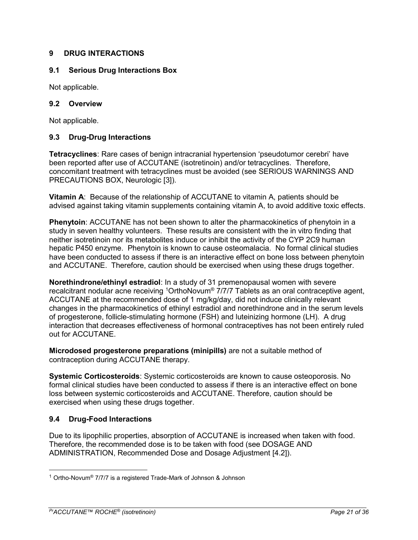# <span id="page-20-0"></span>**9 DRUG INTERACTIONS**

## <span id="page-20-1"></span>**9.1 Serious Drug Interactions Box**

Not applicable.

## <span id="page-20-2"></span>**9.2 Overview**

Not applicable.

# <span id="page-20-3"></span>**9.3 Drug-Drug Interactions**

**Tetracyclines**: Rare cases of benign intracranial hypertension 'pseudotumor cerebri' have been reported after use of ACCUTANE (isotretinoin) and/or tetracyclines. Therefore, concomitant treatment with tetracyclines must be avoided (see SERIOUS WARNINGS AND PRECAUTIONS BOX, Neurologic [3]).

**Vitamin A**: Because of the relationship of ACCUTANE to vitamin A, patients should be advised against taking vitamin supplements containing vitamin A, to avoid additive toxic effects.

**Phenytoin**: ACCUTANE has not been shown to alter the pharmacokinetics of phenytoin in a study in seven healthy volunteers. These results are consistent with the in vitro finding that neither isotretinoin nor its metabolites induce or inhibit the activity of the CYP 2C9 human hepatic P450 enzyme. Phenytoin is known to cause osteomalacia. No formal clinical studies have been conducted to assess if there is an interactive effect on bone loss between phenytoin and ACCUTANE. Therefore, caution should be exercised when using these drugs together.

**Norethindrone/ethinyl estradiol**: In a study of 31 premenopausal women with severe recalcitrant nodular acne receiving <sup>1</sup>OrthoNovum® 7/7/7 Tablets as an oral contraceptive agent, ACCUTANE at the recommended dose of 1 mg/kg/day, did not induce clinically relevant changes in the pharmacokinetics of ethinyl estradiol and norethindrone and in the serum levels of progesterone, follicle-stimulating hormone (FSH) and luteinizing hormone (LH). A drug interaction that decreases effectiveness of hormonal contraceptives has not been entirely ruled out for ACCUTANE.

**Microdosed progesterone preparations (minipills)** are not a suitable method of contraception during ACCUTANE therapy.

**Systemic Corticosteroids**: Systemic corticosteroids are known to cause osteoporosis. No formal clinical studies have been conducted to assess if there is an interactive effect on bone loss between systemic corticosteroids and ACCUTANE. Therefore, caution should be exercised when using these drugs together.

# <span id="page-20-4"></span>**9.4 Drug-Food Interactions**

Due to its lipophilic properties, absorption of ACCUTANE is increased when taken with food. Therefore, the recommended dose is to be taken with food (see DOSAGE AND ADMINISTRATION, Recommended Dose and Dosage Adjustment [4.2]).

 $\overline{a}$ 

<sup>1</sup> Ortho-Novum® 7/7/7 is a registered Trade-Mark of Johnson & Johnson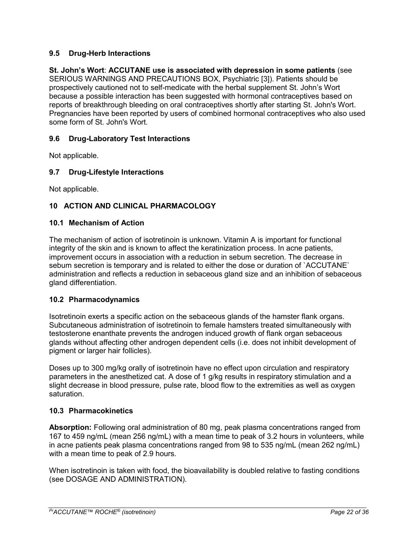## <span id="page-21-0"></span>**9.5 Drug-Herb Interactions**

**St. John's Wort**: **ACCUTANE use is associated with depression in some patients** (see SERIOUS WARNINGS AND PRECAUTIONS BOX, Psychiatric [3]). Patients should be prospectively cautioned not to self-medicate with the herbal supplement St. John's Wort because a possible interaction has been suggested with hormonal contraceptives based on reports of breakthrough bleeding on oral contraceptives shortly after starting St. John's Wort. Pregnancies have been reported by users of combined hormonal contraceptives who also used some form of St. John's Wort.

## <span id="page-21-1"></span>**9.6 Drug-Laboratory Test Interactions**

Not applicable.

## <span id="page-21-2"></span>**9.7 Drug-Lifestyle Interactions**

<span id="page-21-3"></span>Not applicable.

## **10 ACTION AND CLINICAL PHARMACOLOGY**

#### <span id="page-21-4"></span>**10.1 Mechanism of Action**

The mechanism of action of isotretinoin is unknown. Vitamin A is important for functional integrity of the skin and is known to affect the keratinization process. In acne patients, improvement occurs in association with a reduction in sebum secretion. The decrease in sebum secretion is temporary and is related to either the dose or duration of `ACCUTANE` administration and reflects a reduction in sebaceous gland size and an inhibition of sebaceous gland differentiation.

## <span id="page-21-5"></span>**10.2 Pharmacodynamics**

Isotretinoin exerts a specific action on the sebaceous glands of the hamster flank organs. Subcutaneous administration of isotretinoin to female hamsters treated simultaneously with testosterone enanthate prevents the androgen induced growth of flank organ sebaceous glands without affecting other androgen dependent cells (i.e. does not inhibit development of pigment or larger hair follicles).

Doses up to 300 mg/kg orally of isotretinoin have no effect upon circulation and respiratory parameters in the anesthetized cat. A dose of 1 g/kg results in respiratory stimulation and a slight decrease in blood pressure, pulse rate, blood flow to the extremities as well as oxygen saturation.

## <span id="page-21-6"></span>**10.3 Pharmacokinetics**

**Absorption:** Following oral administration of 80 mg, peak plasma concentrations ranged from 167 to 459 ng/mL (mean 256 ng/mL) with a mean time to peak of 3.2 hours in volunteers, while in acne patients peak plasma concentrations ranged from 98 to 535 ng/mL (mean 262 ng/mL) with a mean time to peak of 2.9 hours.

When isotretinoin is taken with food, the bioavailability is doubled relative to fasting conditions (see DOSAGE AND ADMINISTRATION).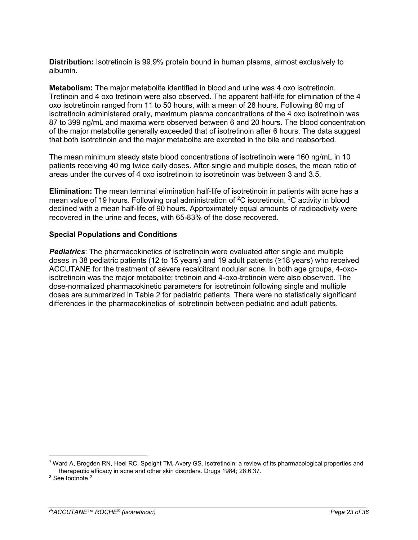**Distribution:** Isotretinoin is 99.9% protein bound in human plasma, almost exclusively to albumin.

**Metabolism:** The major metabolite identified in blood and urine was 4 oxo isotretinoin. Tretinoin and 4 oxo tretinoin were also observed. The apparent half-life for elimination of the 4 oxo isotretinoin ranged from 11 to 50 hours, with a mean of 28 hours. Following 80 mg of isotretinoin administered orally, maximum plasma concentrations of the 4 oxo isotretinoin was 87 to 399 ng/mL and maxima were observed between 6 and 20 hours. The blood concentration of the major metabolite generally exceeded that of isotretinoin after 6 hours. The data suggest that both isotretinoin and the major metabolite are excreted in the bile and reabsorbed.

The mean minimum steady state blood concentrations of isotretinoin were 160 ng/mL in 10 patients receiving 40 mg twice daily doses. After single and multiple doses, the mean ratio of areas under the curves of 4 oxo isotretinoin to isotretinoin was between 3 and 3.5.

**Elimination:** The mean terminal elimination half-life of isotretinoin in patients with acne has a mean value of 19 hours. Following oral administration of <sup>2</sup>C isotretinoin, <sup>3</sup>C activity in blood declined with a mean half-life of 90 hours. Approximately equal amounts of radioactivity were recovered in the urine and feces, with 65-83% of the dose recovered.

## **Special Populations and Conditions**

*Pediatrics*: The pharmacokinetics of isotretinoin were evaluated after single and multiple doses in 38 pediatric patients (12 to 15 years) and 19 adult patients (≥18 years) who received ACCUTANE for the treatment of severe recalcitrant nodular acne. In both age groups, 4-oxoisotretinoin was the major metabolite; tretinoin and 4-oxo-tretinoin were also observed. The dose-normalized pharmacokinetic parameters for isotretinoin following single and multiple doses are summarized in Table 2 for pediatric patients. There were no statistically significant differences in the pharmacokinetics of isotretinoin between pediatric and adult patients.

 $\overline{a}$ 

<sup>&</sup>lt;sup>2</sup> Ward A, Brogden RN, Heel RC, Speight TM, Avery GS. Isotretinoin: a review of its pharmacological properties and therapeutic efficacy in acne and other skin disorders. Drugs 1984; 28:6 37.

<sup>&</sup>lt;sup>3</sup> See footnote <sup>2</sup>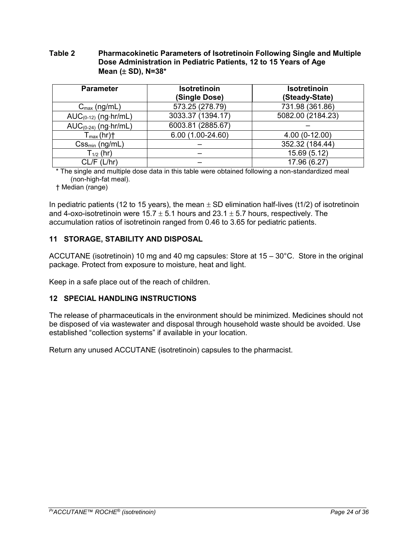## **Table 2 Pharmacokinetic Parameters of Isotretinoin Following Single and Multiple Dose Administration in Pediatric Patients, 12 to 15 Years of Age Mean (** $\pm$  **SD), N=38\***

| <b>Parameter</b>                  | <b>Isotretinoin</b><br>(Single Dose) | Isotretinoin<br>(Steady-State) |
|-----------------------------------|--------------------------------------|--------------------------------|
| $C_{\text{max}}$ (ng/mL)          | 573.25 (278.79)                      | 731.98 (361.86)                |
| $AUC_{(0-12)}$ (ng $\cdot$ hr/mL) | 3033.37 (1394.17)                    | 5082.00 (2184.23)              |
| $AUC_{(0-24)}$ (ng $\cdot$ hr/mL) | 6003.81 (2885.67)                    |                                |
| $T_{max}(hr)$ <sup>+</sup>        | 6.00 (1.00-24.60)                    | $4.00(0-12.00)$                |
| $Css_{min}$ (ng/mL)               |                                      | 352.32 (184.44)                |
| $T_{1/2}$ (hr)                    |                                      | 15.69 (5.12)                   |
| $CL/F$ ( $L/hr$ )                 |                                      | 17.96 (6.27)                   |

\* The single and multiple dose data in this table were obtained following a non-standardized meal (non-high-fat meal).

† Median (range)

In pediatric patients (12 to 15 years), the mean  $\pm$  SD elimination half-lives (t1/2) of isotretinoin and 4-oxo-isotretinoin were  $15.7 \pm 5.1$  hours and  $23.1 \pm 5.7$  hours, respectively. The accumulation ratios of isotretinoin ranged from 0.46 to 3.65 for pediatric patients.

## <span id="page-23-0"></span>**11 STORAGE, STABILITY AND DISPOSAL**

ACCUTANE (isotretinoin) 10 mg and 40 mg capsules: Store at 15 – 30°C. Store in the original package. Protect from exposure to moisture, heat and light.

<span id="page-23-1"></span>Keep in a safe place out of the reach of children.

## **12 SPECIAL HANDLING INSTRUCTIONS**

The release of pharmaceuticals in the environment should be minimized. Medicines should not be disposed of via wastewater and disposal through household waste should be avoided. Use established "collection systems" if available in your location.

Return any unused ACCUTANE (isotretinoin) capsules to the pharmacist.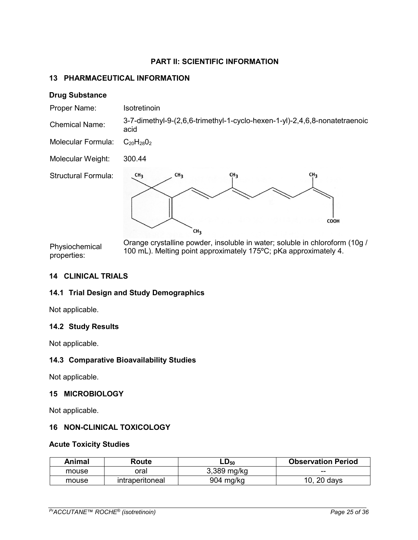# **PART II: SCIENTIFIC INFORMATION**

## <span id="page-24-1"></span><span id="page-24-0"></span>**13 PHARMACEUTICAL INFORMATION**

#### **Drug Substance**

| Proper Name:               | Isotretinoin                                                                                               |
|----------------------------|------------------------------------------------------------------------------------------------------------|
| <b>Chemical Name:</b>      | 3-7-dimethyl-9-(2,6,6-trimethyl-1-cyclo-hexen-1-yl)-2,4,6,8-nonatetraenoic<br>acid                         |
| <b>Molecular Formula:</b>  | $C_{20}H_{28}O_2$                                                                                          |
| Molecular Weight:          | 300.44                                                                                                     |
| <b>Structural Formula:</b> | CH <sub>3</sub><br>CH <sub>3</sub><br>CH <sub>3</sub><br>CH <sub>3</sub><br><b>COOH</b><br>CH <sub>3</sub> |
| <b>Dhugiachamical</b>      | Orange crystalline powder, insoluble in water; soluble in chloroform (10g /                                |

Physiochemical properties: 100 mL). Melting point approximately 175ºC; pKa approximately 4.

## <span id="page-24-2"></span>**14 CLINICAL TRIALS**

## <span id="page-24-3"></span>**14.1 Trial Design and Study Demographics**

<span id="page-24-4"></span>Not applicable.

## **14.2 Study Results**

<span id="page-24-5"></span>Not applicable.

## **14.3 Comparative Bioavailability Studies**

Not applicable.

## <span id="page-24-6"></span>**15 MICROBIOLOGY**

Not applicable.

## <span id="page-24-7"></span>**16 NON-CLINICAL TOXICOLOGY**

## **Acute Toxicity Studies**

| Animal | Route           | $LD_{50}$   | <b>Observation Period</b> |
|--------|-----------------|-------------|---------------------------|
| mouse  | วral            | 3,389 mg/kg | $- -$                     |
| mouse  | intraperitoneal | 904 mg/kg   | 10, 20 days               |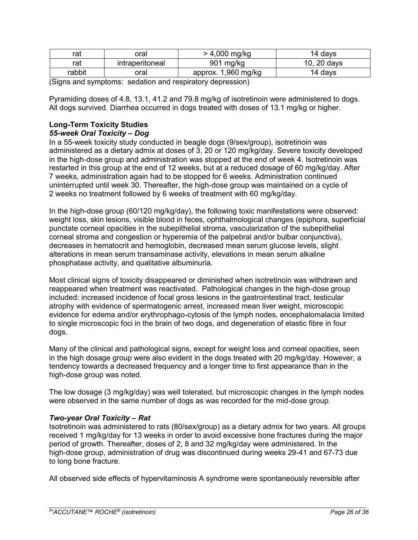| rat    | oral            | > 4,000 mg/kg          | 14 davs        |
|--------|-----------------|------------------------|----------------|
| rat    | intraperitoneal | 901<br>mg/kg           | 10.<br>20 days |
| rabbit | oral            | 1,960 mg/kg<br>approx. | 14 davs        |

(Signs and symptoms: sedation and respiratory depression)

Pyramiding doses of 4.8, 13.1, 41.2 and 79.8 mg/kg of isotretinoin were administered to dogs. All dogs survived. Diarrhea occurred in dogs treated with doses of 13.1 mg/kg or higher.

# **Long-Term Toxicity Studies**

## *55-week Oral Toxicity – Dog*

In a 55-week toxicity study conducted in beagle dogs (9/sex/group), isotretinoin was administered as a dietary admix at doses of 3, 20 or 120 mg/kg/day. Severe toxicity developed in the high-dose group and administration was stopped at the end of week 4. Isotretinoin was restarted in this group at the end of 12 weeks, but at a reduced dosage of 60 mg/kg/day. After 7 weeks, administration again had to be stopped for 6 weeks. Administration continued uninterrupted until week 30. Thereafter, the high-dose group was maintained on a cycle of 2 weeks no treatment followed by 6 weeks of treatment with 60 mg/kg/day.

In the high-dose group (60/120 mg/kg/day), the following toxic manifestations were observed: weight loss, skin lesions, visible blood in feces, ophthalmological changes (epiphora, superficial punctate corneal opacities in the subepithelial stroma, vascularization of the subepithelial corneal stroma and congestion or hyperemia of the palpebral and/or bulbar conjunctiva), decreases in hematocrit and hemoglobin, decreased mean serum glucose levels, slight alterations in mean serum transaminase activity, elevations in mean serum alkaline phosphatase activity, and qualitative albuminuria.

Most clinical signs of toxicity disappeared or diminished when isotretinoin was withdrawn and reappeared when treatment was reactivated. Pathological changes in the high-dose group included: increased incidence of focal gross lesions in the gastrointestinal tract, testicular atrophy with evidence of spermatogenic arrest, increased mean liver weight, microscopic evidence for edema and/or erythrophago-cytosis of the lymph nodes, encephalomalacia limited to single microscopic foci in the brain of two dogs, and degeneration of elastic fibre in four dogs.

Many of the clinical and pathological signs, except for weight loss and corneal opacities, seen in the high dosage group were also evident in the dogs treated with 20 mg/kg/day. However, a tendency towards a decreased frequency and a longer time to first appearance than in the high-dose group was noted.

The low dosage (3 mg/kg/day) was well tolerated, but microscopic changes in the lymph nodes were observed in the same number of dogs as was recorded for the mid-dose group.

## *Two-year Oral Toxicity – Rat*

Isotretinoin was administered to rats (80/sex/group) as a dietary admix for two years. All groups received 1 mg/kg/day for 13 weeks in order to avoid excessive bone fractures during the major period of growth. Thereafter, doses of 2, 8 and 32 mg/kg/day were administered. In the high-dose group, administration of drug was discontinued during weeks 29-41 and 67-73 due to long bone fracture.

All observed side effects of hypervitaminosis A syndrome were spontaneously reversible after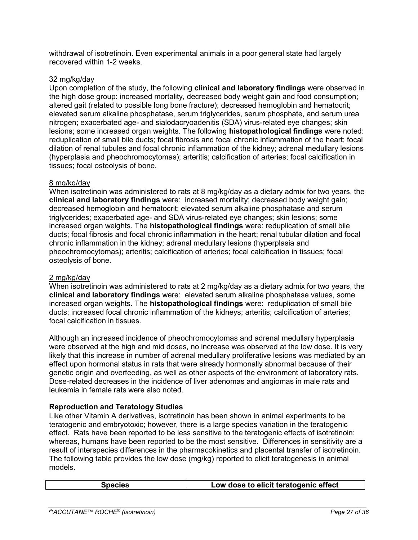withdrawal of isotretinoin. Even experimental animals in a poor general state had largely recovered within 1-2 weeks.

#### 32 mg/kg/day

Upon completion of the study, the following **clinical and laboratory findings** were observed in the high dose group: increased mortality, decreased body weight gain and food consumption; altered gait (related to possible long bone fracture); decreased hemoglobin and hematocrit; elevated serum alkaline phosphatase, serum triglycerides, serum phosphate, and serum urea nitrogen; exacerbated age- and sialodacryoadenitis (SDA) virus-related eye changes; skin lesions; some increased organ weights. The following **histopathological findings** were noted: reduplication of small bile ducts; focal fibrosis and focal chronic inflammation of the heart; focal dilation of renal tubules and focal chronic inflammation of the kidney; adrenal medullary lesions (hyperplasia and pheochromocytomas); arteritis; calcification of arteries; focal calcification in tissues; focal osteolysis of bone.

#### 8 mg/kg/day

When isotretinoin was administered to rats at 8 mg/kg/day as a dietary admix for two years, the **clinical and laboratory findings** were: increased mortality; decreased body weight gain; decreased hemoglobin and hematocrit; elevated serum alkaline phosphatase and serum triglycerides; exacerbated age- and SDA virus-related eye changes; skin lesions; some increased organ weights. The **histopathological findings** were: reduplication of small bile ducts; focal fibrosis and focal chronic inflammation in the heart; renal tubular dilation and focal chronic inflammation in the kidney; adrenal medullary lesions (hyperplasia and pheochromocytomas); arteritis; calcification of arteries; focal calcification in tissues; focal osteolysis of bone.

## 2 mg/kg/day

When isotretinoin was administered to rats at 2 mg/kg/day as a dietary admix for two years, the **clinical and laboratory findings** were: elevated serum alkaline phosphatase values, some increased organ weights. The **histopathological findings** were: reduplication of small bile ducts; increased focal chronic inflammation of the kidneys; arteritis; calcification of arteries; focal calcification in tissues.

Although an increased incidence of pheochromocytomas and adrenal medullary hyperplasia were observed at the high and mid doses, no increase was observed at the low dose. It is very likely that this increase in number of adrenal medullary proliferative lesions was mediated by an effect upon hormonal status in rats that were already hormonally abnormal because of their genetic origin and overfeeding, as well as other aspects of the environment of laboratory rats. Dose-related decreases in the incidence of liver adenomas and angiomas in male rats and leukemia in female rats were also noted.

## **Reproduction and Teratology Studies**

Like other Vitamin A derivatives, isotretinoin has been shown in animal experiments to be teratogenic and embryotoxic; however, there is a large species variation in the teratogenic effect. Rats have been reported to be less sensitive to the teratogenic effects of isotretinoin; whereas, humans have been reported to be the most sensitive. Differences in sensitivity are a result of interspecies differences in the pharmacokinetics and placental transfer of isotretinoin. The following table provides the low dose (mg/kg) reported to elicit teratogenesis in animal models.

| <b>Species</b> | Low dose to elicit teratogenic effect |
|----------------|---------------------------------------|
|----------------|---------------------------------------|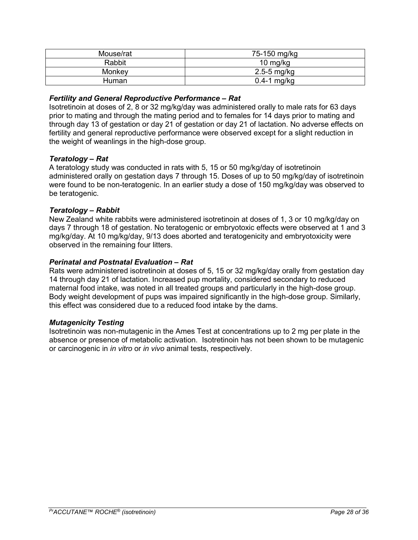| Mouse/rat | 75-150 mg/kg    |
|-----------|-----------------|
| Rabbit    | 10 mg/kg        |
| Monkey    | $2.5 - 5$ mg/kg |
| Human     | $0.4-1$ mg/kg   |

## *Fertility and General Reproductive Performance – Rat*

Isotretinoin at doses of 2, 8 or 32 mg/kg/day was administered orally to male rats for 63 days prior to mating and through the mating period and to females for 14 days prior to mating and through day 13 of gestation or day 21 of gestation or day 21 of lactation. No adverse effects on fertility and general reproductive performance were observed except for a slight reduction in the weight of weanlings in the high-dose group.

## *Teratology – Rat*

A teratology study was conducted in rats with 5, 15 or 50 mg/kg/day of isotretinoin administered orally on gestation days 7 through 15. Doses of up to 50 mg/kg/day of isotretinoin were found to be non-teratogenic. In an earlier study a dose of 150 mg/kg/day was observed to be teratogenic.

## *Teratology – Rabbit*

New Zealand white rabbits were administered isotretinoin at doses of 1, 3 or 10 mg/kg/day on days 7 through 18 of gestation. No teratogenic or embryotoxic effects were observed at 1 and 3 mg/kg/day. At 10 mg/kg/day, 9/13 does aborted and teratogenicity and embryotoxicity were observed in the remaining four litters.

#### *Perinatal and Postnatal Evaluation – Rat*

Rats were administered isotretinoin at doses of 5, 15 or 32 mg/kg/day orally from gestation day 14 through day 21 of lactation. Increased pup mortality, considered secondary to reduced maternal food intake, was noted in all treated groups and particularly in the high-dose group. Body weight development of pups was impaired significantly in the high-dose group. Similarly, this effect was considered due to a reduced food intake by the dams.

#### *Mutagenicity Testing*

Isotretinoin was non-mutagenic in the Ames Test at concentrations up to 2 mg per plate in the absence or presence of metabolic activation. Isotretinoin has not been shown to be mutagenic or carcinogenic in *in vitro* or *in vivo* animal tests, respectively.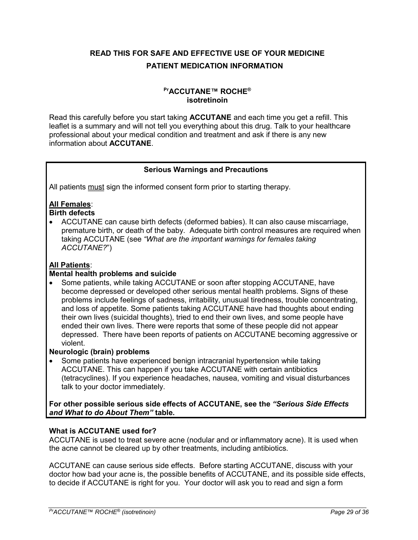# <span id="page-28-0"></span>**READ THIS FOR SAFE AND EFFECTIVE USE OF YOUR MEDICINE PATIENT MEDICATION INFORMATION**

## **PrACCUTANE™ ROCHE® isotretinoin**

Read this carefully before you start taking **ACCUTANE** and each time you get a refill. This leaflet is a summary and will not tell you everything about this drug. Talk to your healthcare professional about your medical condition and treatment and ask if there is any new information about **ACCUTANE**.

## **Serious Warnings and Precautions**

All patients must sign the informed consent form prior to starting therapy.

# **All Females**:

**Birth defects**

 ACCUTANE can cause birth defects (deformed babies). It can also cause miscarriage, premature birth, or death of the baby. Adequate birth control measures are required when taking ACCUTANE (see *"What are the important warnings for females taking ACCUTANE?*")

# **All Patients**:

## **Mental health problems and suicide**

• Some patients, while taking ACCUTANE or soon after stopping ACCUTANE, have become depressed or developed other serious mental health problems. Signs of these problems include feelings of sadness, irritability, unusual tiredness, trouble concentrating, and loss of appetite. Some patients taking ACCUTANE have had thoughts about ending their own lives (suicidal thoughts), tried to end their own lives, and some people have ended their own lives. There were reports that some of these people did not appear depressed. There have been reports of patients on ACCUTANE becoming aggressive or violent.

## **Neurologic (brain) problems**

• Some patients have experienced benign intracranial hypertension while taking ACCUTANE. This can happen if you take ACCUTANE with certain antibiotics (tetracyclines). If you experience headaches, nausea, vomiting and visual disturbances talk to your doctor immediately.

**For other possible serious side effects of ACCUTANE, see the** *"Serious Side Effects and What to do About Them"* **table.**

## **What is ACCUTANE used for?**

ACCUTANE is used to treat severe acne (nodular and or inflammatory acne). It is used when the acne cannot be cleared up by other treatments, including antibiotics.

ACCUTANE can cause serious side effects. Before starting ACCUTANE, discuss with your doctor how bad your acne is, the possible benefits of ACCUTANE, and its possible side effects, to decide if ACCUTANE is right for you. Your doctor will ask you to read and sign a form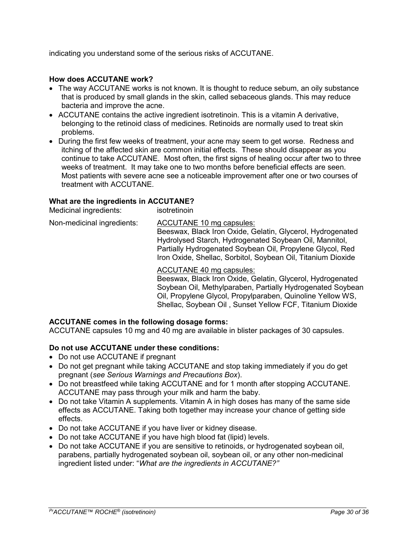indicating you understand some of the serious risks of ACCUTANE.

## **How does ACCUTANE work?**

- The way ACCUTANE works is not known. It is thought to reduce sebum, an oily substance that is produced by small glands in the skin, called sebaceous glands. This may reduce bacteria and improve the acne.
- ACCUTANE contains the active ingredient isotretinoin. This is a vitamin A derivative, belonging to the retinoid class of medicines. Retinoids are normally used to treat skin problems.
- During the first few weeks of treatment, your acne may seem to get worse. Redness and itching of the affected skin are common initial effects. These should disappear as you continue to take ACCUTANE. Most often, the first signs of healing occur after two to three weeks of treatment. It may take one to two months before beneficial effects are seen. Most patients with severe acne see a noticeable improvement after one or two courses of treatment with ACCUTANE.

#### **What are the ingredients in ACCUTANE?**

Medicinal ingredients: isotretinoin

Non-medicinal ingredients: ACCUTANE 10 mg capsules: Beeswax, Black Iron Oxide, Gelatin, Glycerol, Hydrogenated Hydrolysed Starch, Hydrogenated Soybean Oil, Mannitol, Partially Hydrogenated Soybean Oil, Propylene Glycol, Red Iron Oxide, Shellac, Sorbitol, Soybean Oil, Titanium Dioxide

# ACCUTANE 40 mg capsules:

Beeswax, Black Iron Oxide, Gelatin, Glycerol, Hydrogenated Soybean Oil, Methylparaben, Partially Hydrogenated Soybean Oil, Propylene Glycol, Propylparaben, Quinoline Yellow WS, Shellac, Soybean Oil , Sunset Yellow FCF, Titanium Dioxide

## **ACCUTANE comes in the following dosage forms:**

ACCUTANE capsules 10 mg and 40 mg are available in blister packages of 30 capsules.

## **Do not use ACCUTANE under these conditions:**

- Do not use ACCUTANE if pregnant
- Do not get pregnant while taking ACCUTANE and stop taking immediately if you do get pregnant (*see Serious Warnings and Precautions Box*).
- Do not breastfeed while taking ACCUTANE and for 1 month after stopping ACCUTANE. ACCUTANE may pass through your milk and harm the baby.
- Do not take Vitamin A supplements. Vitamin A in high doses has many of the same side effects as ACCUTANE. Taking both together may increase your chance of getting side effects.
- Do not take ACCUTANE if you have liver or kidney disease.
- Do not take ACCUTANE if you have high blood fat (lipid) levels.
- Do not take ACCUTANE if you are sensitive to retinoids, or hydrogenated soybean oil, parabens, partially hydrogenated soybean oil, soybean oil, or any other non-medicinal ingredient listed under: "*What are the ingredients in ACCUTANE?"*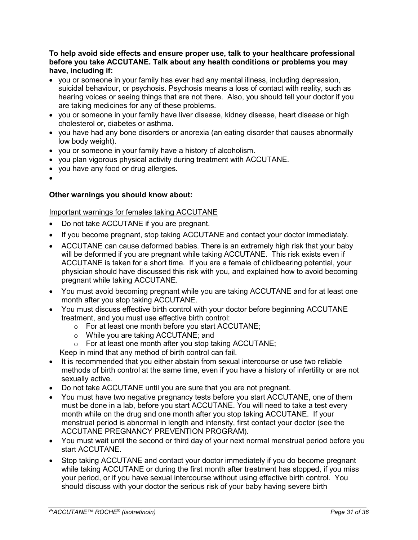## **To help avoid side effects and ensure proper use, talk to your healthcare professional before you take ACCUTANE. Talk about any health conditions or problems you may have, including if:**

- you or someone in your family has ever had any mental illness, including depression, suicidal behaviour, or psychosis. Psychosis means a loss of contact with reality, such as hearing voices or seeing things that are not there. Also, you should tell your doctor if you are taking medicines for any of these problems.
- vou or someone in your family have liver disease, kidney disease, heart disease or high cholesterol or, diabetes or asthma.
- you have had any bone disorders or anorexia (an eating disorder that causes abnormally low body weight).
- you or someone in your family have a history of alcoholism.
- you plan vigorous physical activity during treatment with ACCUTANE.
- you have any food or drug allergies.
- $\bullet$

## **Other warnings you should know about:**

#### Important warnings for females taking ACCUTANE

- Do not take ACCUTANE if you are pregnant.
- If you become pregnant, stop taking ACCUTANE and contact your doctor immediately.
- ACCUTANE can cause deformed babies. There is an extremely high risk that your baby will be deformed if you are pregnant while taking ACCUTANE. This risk exists even if ACCUTANE is taken for a short time. If you are a female of childbearing potential, your physician should have discussed this risk with you, and explained how to avoid becoming pregnant while taking ACCUTANE.
- You must avoid becoming pregnant while you are taking ACCUTANE and for at least one month after you stop taking ACCUTANE.
- You must discuss effective birth control with your doctor before beginning ACCUTANE treatment, and you must use effective birth control:
	- o For at least one month before you start ACCUTANE;
	- o While you are taking ACCUTANE; and
	- o For at least one month after you stop taking ACCUTANE;

Keep in mind that any method of birth control can fail.

- It is recommended that you either abstain from sexual intercourse or use two reliable methods of birth control at the same time, even if you have a history of infertility or are not sexually active.
- Do not take ACCUTANE until you are sure that you are not pregnant.
- You must have two negative pregnancy tests before you start ACCUTANE, one of them must be done in a lab, before you start ACCUTANE. You will need to take a test every month while on the drug and one month after you stop taking ACCUTANE. If your menstrual period is abnormal in length and intensity, first contact your doctor (see the ACCUTANE PREGNANCY PREVENTION PROGRAM).
- You must wait until the second or third day of your next normal menstrual period before you start ACCUTANE.
- Stop taking ACCUTANE and contact your doctor immediately if you do become pregnant while taking ACCUTANE or during the first month after treatment has stopped, if you miss your period, or if you have sexual intercourse without using effective birth control. You should discuss with your doctor the serious risk of your baby having severe birth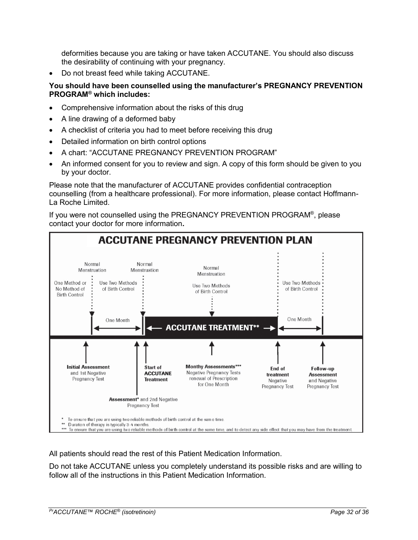deformities because you are taking or have taken ACCUTANE. You should also discuss the desirability of continuing with your pregnancy.

Do not breast feed while taking ACCUTANE.

## **You should have been counselled using the manufacturer's PREGNANCY PREVENTION PROGRAM® which includes:**

- Comprehensive information about the risks of this drug
- A line drawing of a deformed baby
- A checklist of criteria you had to meet before receiving this drug
- Detailed information on birth control options
- A chart: "ACCUTANE PREGNANCY PREVENTION PROGRAM"
- An informed consent for you to review and sign. A copy of this form should be given to you by your doctor.

Please note that the manufacturer of ACCUTANE provides confidential contraception counselling (from a healthcare professional). For more information, please contact Hoffmann-La Roche Limited.

If you were not counselled using the PREGNANCY PREVENTION PROGRAM®, please contact your doctor for more information**.**



All patients should read the rest of this Patient Medication Information.

Do not take ACCUTANE unless you completely understand its possible risks and are willing to follow all of the instructions in this Patient Medication Information.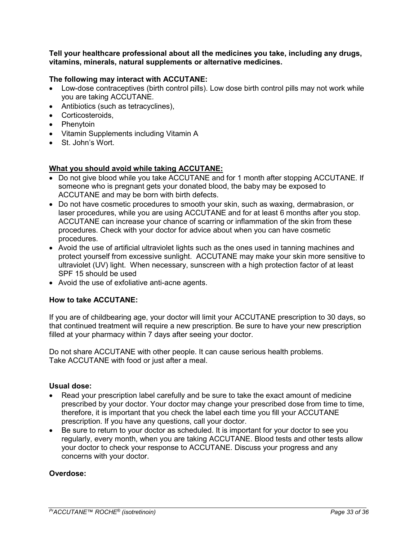**Tell your healthcare professional about all the medicines you take, including any drugs, vitamins, minerals, natural supplements or alternative medicines.**

## **The following may interact with ACCUTANE:**

- Low-dose contraceptives (birth control pills). Low dose birth control pills may not work while you are taking ACCUTANE.
- Antibiotics (such as tetracyclines),
- Corticosteroids,
- Phenytoin
- Vitamin Supplements including Vitamin A
- St. John's Wort.

## **What you should avoid while taking ACCUTANE:**

- Do not give blood while you take ACCUTANE and for 1 month after stopping ACCUTANE. If someone who is pregnant gets your donated blood, the baby may be exposed to ACCUTANE and may be born with birth defects.
- Do not have cosmetic procedures to smooth your skin, such as waxing, dermabrasion, or laser procedures, while you are using ACCUTANE and for at least 6 months after you stop. ACCUTANE can increase your chance of scarring or inflammation of the skin from these procedures. Check with your doctor for advice about when you can have cosmetic procedures.
- Avoid the use of artificial ultraviolet lights such as the ones used in tanning machines and protect yourself from excessive sunlight. ACCUTANE may make your skin more sensitive to ultraviolet (UV) light. When necessary, sunscreen with a high protection factor of at least SPF 15 should be used
- Avoid the use of exfoliative anti-acne agents.

## **How to take ACCUTANE:**

If you are of childbearing age, your doctor will limit your ACCUTANE prescription to 30 days, so that continued treatment will require a new prescription. Be sure to have your new prescription filled at your pharmacy within 7 days after seeing your doctor.

Do not share ACCUTANE with other people. It can cause serious health problems. Take ACCUTANE with food or just after a meal.

#### **Usual dose:**

- Read your prescription label carefully and be sure to take the exact amount of medicine prescribed by your doctor. Your doctor may change your prescribed dose from time to time, therefore, it is important that you check the label each time you fill your ACCUTANE prescription. If you have any questions, call your doctor.
- Be sure to return to your doctor as scheduled. It is important for your doctor to see you regularly, every month, when you are taking ACCUTANE. Blood tests and other tests allow your doctor to check your response to ACCUTANE. Discuss your progress and any concerns with your doctor.

## **Overdose:**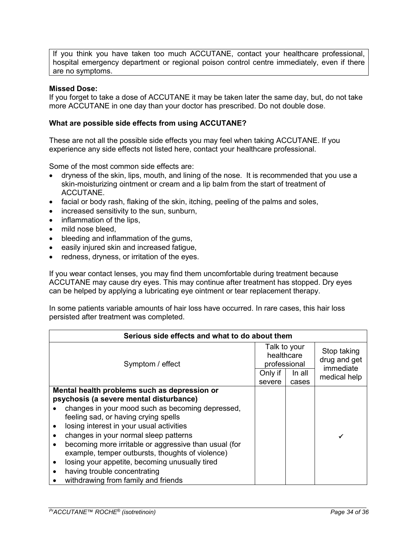If you think you have taken too much ACCUTANE, contact your healthcare professional, hospital emergency department or regional poison control centre immediately, even if there are no symptoms.

#### **Missed Dose:**

If you forget to take a dose of ACCUTANE it may be taken later the same day, but, do not take more ACCUTANE in one day than your doctor has prescribed. Do not double dose.

#### **What are possible side effects from using ACCUTANE?**

These are not all the possible side effects you may feel when taking ACCUTANE. If you experience any side effects not listed here, contact your healthcare professional.

Some of the most common side effects are:

- dryness of the skin, lips, mouth, and lining of the nose. It is recommended that you use a skin-moisturizing ointment or cream and a lip balm from the start of treatment of ACCUTANE.
- facial or body rash, flaking of the skin, itching, peeling of the palms and soles,
- increased sensitivity to the sun, sunburn,
- inflammation of the lips.
- mild nose bleed.
- bleeding and inflammation of the gums,
- easily injured skin and increased fatigue,
- redness, dryness, or irritation of the eyes.

If you wear contact lenses, you may find them uncomfortable during treatment because ACCUTANE may cause dry eyes. This may continue after treatment has stopped. Dry eyes can be helped by applying a lubricating eye ointment or tear replacement therapy.

In some patients variable amounts of hair loss have occurred. In rare cases, this hair loss persisted after treatment was completed.

| Serious side effects and what to do about them                                                            |                   |                                            |                             |
|-----------------------------------------------------------------------------------------------------------|-------------------|--------------------------------------------|-----------------------------|
| Symptom / effect                                                                                          |                   | Talk to your<br>healthcare<br>professional | Stop taking<br>drug and get |
|                                                                                                           | Only if<br>severe | In all<br>cases                            | immediate<br>medical help   |
| Mental health problems such as depression or<br>psychosis (a severe mental disturbance)                   |                   |                                            |                             |
| changes in your mood such as becoming depressed,<br>feeling sad, or having crying spells                  |                   |                                            |                             |
| losing interest in your usual activities<br>changes in your normal sleep patterns                         |                   |                                            |                             |
| becoming more irritable or aggressive than usual (for<br>example, temper outbursts, thoughts of violence) |                   |                                            |                             |
| losing your appetite, becoming unusually tired                                                            |                   |                                            |                             |
| having trouble concentrating<br>withdrawing from family and friends                                       |                   |                                            |                             |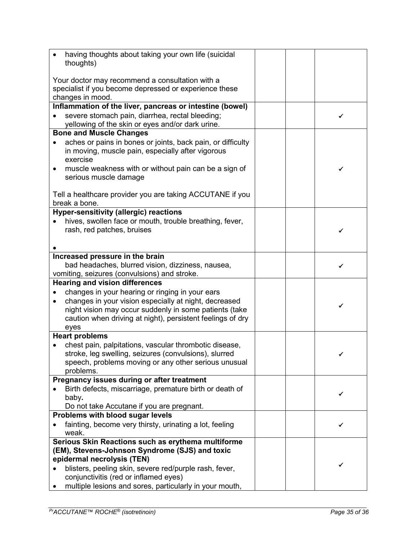| having thoughts about taking your own life (suicidal<br>thoughts)                                                                                                                                                                                     |   |
|-------------------------------------------------------------------------------------------------------------------------------------------------------------------------------------------------------------------------------------------------------|---|
| Your doctor may recommend a consultation with a<br>specialist if you become depressed or experience these<br>changes in mood.                                                                                                                         |   |
| Inflammation of the liver, pancreas or intestine (bowel)<br>severe stomach pain, diarrhea, rectal bleeding;<br>yellowing of the skin or eyes and/or dark urine.                                                                                       |   |
| <b>Bone and Muscle Changes</b>                                                                                                                                                                                                                        |   |
| aches or pains in bones or joints, back pain, or difficulty<br>in moving, muscle pain, especially after vigorous<br>exercise                                                                                                                          |   |
| muscle weakness with or without pain can be a sign of<br>٠<br>serious muscle damage                                                                                                                                                                   | ✔ |
| Tell a healthcare provider you are taking ACCUTANE if you<br>break a bone.                                                                                                                                                                            |   |
| <b>Hyper-sensitivity (allergic) reactions</b>                                                                                                                                                                                                         |   |
| hives, swollen face or mouth, trouble breathing, fever,<br>rash, red patches, bruises                                                                                                                                                                 | ✔ |
|                                                                                                                                                                                                                                                       |   |
| Increased pressure in the brain<br>bad headaches, blurred vision, dizziness, nausea,<br>vomiting, seizures (convulsions) and stroke.                                                                                                                  |   |
| <b>Hearing and vision differences</b>                                                                                                                                                                                                                 |   |
| changes in your hearing or ringing in your ears<br>changes in your vision especially at night, decreased<br>$\bullet$<br>night vision may occur suddenly in some patients (take<br>caution when driving at night), persistent feelings of dry<br>eyes | ✓ |
| <b>Heart problems</b>                                                                                                                                                                                                                                 |   |
| chest pain, palpitations, vascular thrombotic disease,<br>stroke, leg swelling, seizures (convulsions), slurred<br>speech, problems moving or any other serious unusual<br>problems.                                                                  | ✓ |
| Pregnancy issues during or after treatment                                                                                                                                                                                                            |   |
| Birth defects, miscarriage, premature birth or death of<br>baby.                                                                                                                                                                                      |   |
| Do not take Accutane if you are pregnant.<br>Problems with blood sugar levels                                                                                                                                                                         |   |
| fainting, become very thirsty, urinating a lot, feeling<br>weak.                                                                                                                                                                                      |   |
| Serious Skin Reactions such as erythema multiforme                                                                                                                                                                                                    |   |
| (EM), Stevens-Johnson Syndrome (SJS) and toxic                                                                                                                                                                                                        |   |
| epidermal necrolysis (TEN)                                                                                                                                                                                                                            |   |
| blisters, peeling skin, severe red/purple rash, fever,<br>conjunctivitis (red or inflamed eyes)                                                                                                                                                       |   |
| multiple lesions and sores, particularly in your mouth,                                                                                                                                                                                               |   |